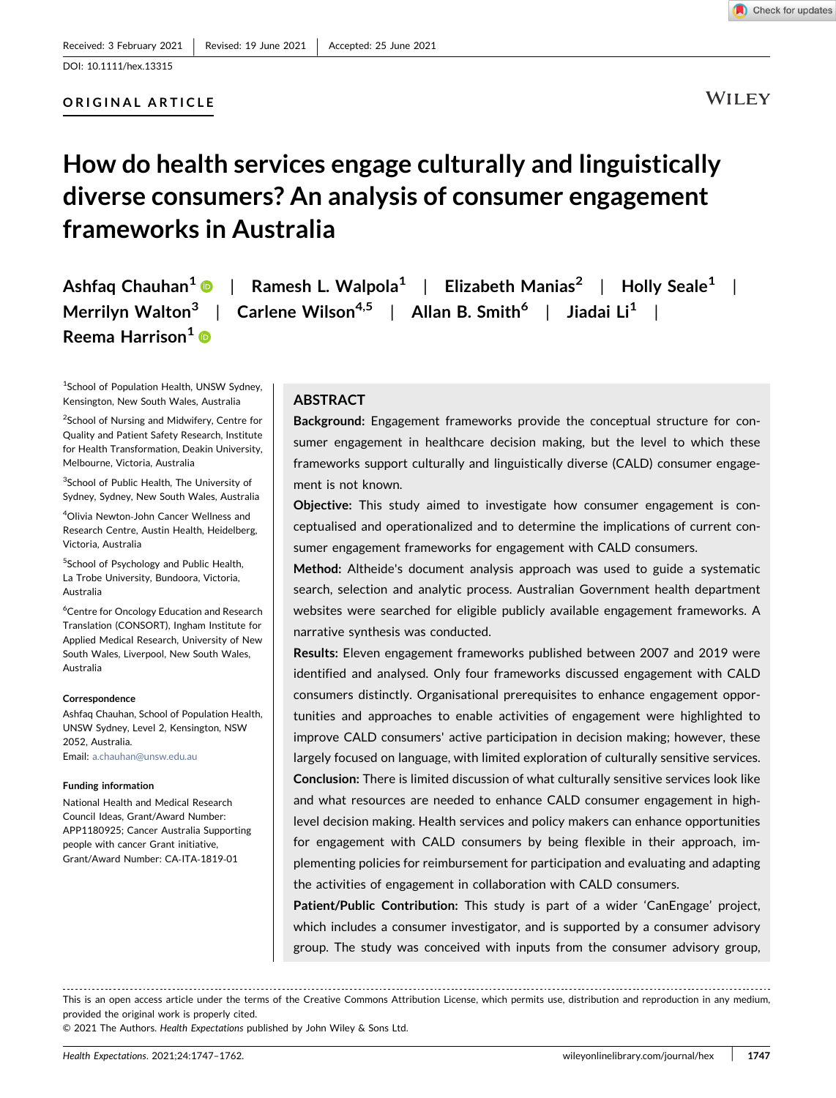#### DOI: 10.1111/hex.13315

# ORIGINAL ARTICLE

# How do health services engage culturally and linguistically diverse consumers? An analysis of consumer engagement frameworks in Australia

Ashfaq Chauhan<sup>1</sup> | Ramesh L. Walpola<sup>1</sup> | Elizabeth Manias<sup>2</sup> | Holly Seale<sup>1</sup> | Merrilyn Walton<sup>3</sup> | Carlene Wilson<sup>4,5</sup> | Allan B. Smith<sup>6</sup> | Jiadai Li<sup>1</sup> | Reema Harrison<sup>[1](http://orcid.org/0000-0002-8609-9827)</sup>

<sup>1</sup>School of Population Health, UNSW Sydney, Kensington, New South Wales, Australia

<sup>2</sup>School of Nursing and Midwifery, Centre for Quality and Patient Safety Research, Institute for Health Transformation, Deakin University, Melbourne, Victoria, Australia

<sup>3</sup>School of Public Health, The University of Sydney, Sydney, New South Wales, Australia

4 Olivia Newton‐John Cancer Wellness and Research Centre, Austin Health, Heidelberg, Victoria, Australia

5 School of Psychology and Public Health, La Trobe University, Bundoora, Victoria, Australia

6 Centre for Oncology Education and Research Translation (CONSORT), Ingham Institute for Applied Medical Research, University of New South Wales, Liverpool, New South Wales, Australia

#### Correspondence

Ashfaq Chauhan, School of Population Health, UNSW Sydney, Level 2, Kensington, NSW 2052, Australia. Email: [a.chauhan@unsw.edu.au](mailto:a.chauhan@unsw.edu.au)

#### Funding information

National Health and Medical Research Council Ideas, Grant/Award Number: APP1180925; Cancer Australia Supporting people with cancer Grant initiative, Grant/Award Number: CA‐ITA‐1819‐01

# **ABSTRACT**

Background: Engagement frameworks provide the conceptual structure for consumer engagement in healthcare decision making, but the level to which these frameworks support culturally and linguistically diverse (CALD) consumer engagement is not known.

Objective: This study aimed to investigate how consumer engagement is conceptualised and operationalized and to determine the implications of current consumer engagement frameworks for engagement with CALD consumers.

Method: Altheide's document analysis approach was used to guide a systematic search, selection and analytic process. Australian Government health department websites were searched for eligible publicly available engagement frameworks. A narrative synthesis was conducted.

Results: Eleven engagement frameworks published between 2007 and 2019 were identified and analysed. Only four frameworks discussed engagement with CALD consumers distinctly. Organisational prerequisites to enhance engagement opportunities and approaches to enable activities of engagement were highlighted to improve CALD consumers' active participation in decision making; however, these largely focused on language, with limited exploration of culturally sensitive services. Conclusion: There is limited discussion of what culturally sensitive services look like and what resources are needed to enhance CALD consumer engagement in high‐ level decision making. Health services and policy makers can enhance opportunities for engagement with CALD consumers by being flexible in their approach, implementing policies for reimbursement for participation and evaluating and adapting the activities of engagement in collaboration with CALD consumers.

Patient/Public Contribution: This study is part of a wider 'CanEngage' project, which includes a consumer investigator, and is supported by a consumer advisory group. The study was conceived with inputs from the consumer advisory group,

This is an open access article under the terms of the Creative Commons Attribution License, which permits use, distribution and reproduction in any medium, provided the original work is properly cited.

© 2021 The Authors. Health Expectations published by John Wiley & Sons Ltd.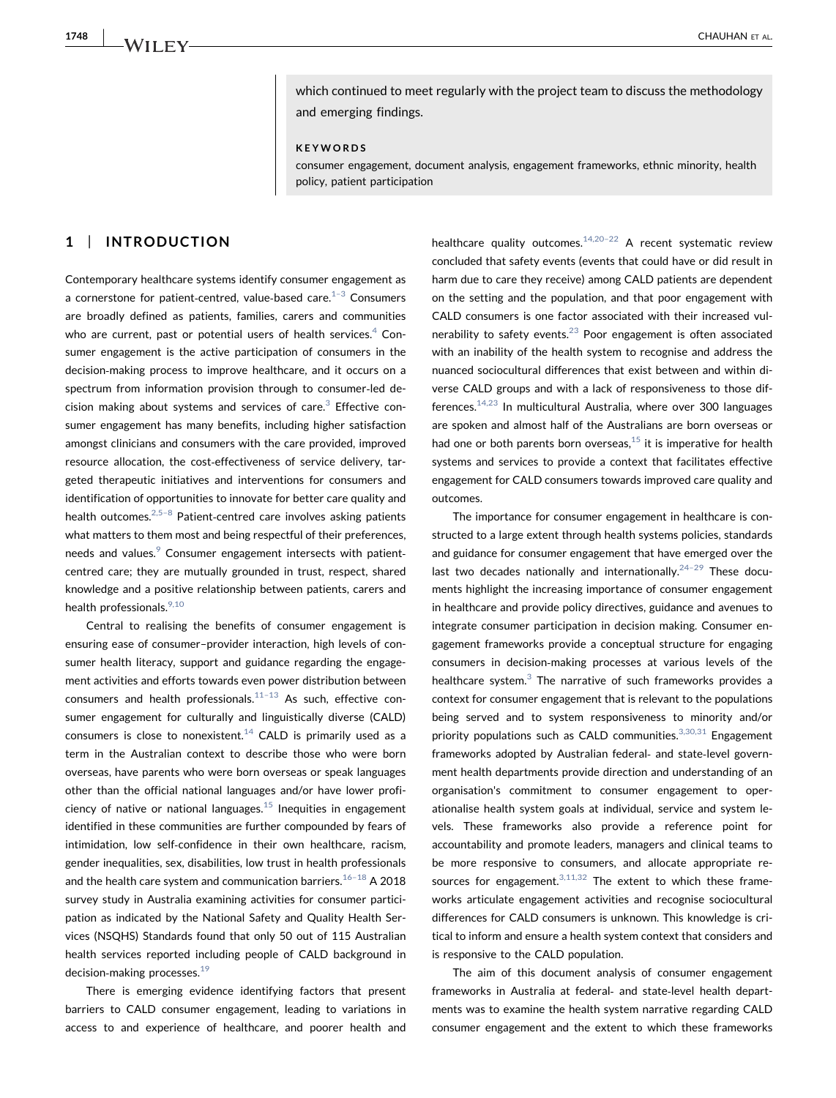1748 | **International Chaudhan Et al.** Chau**han Et al. 2014** 

which continued to meet regularly with the project team to discuss the methodology and emerging findings.

#### KEYWORDS

consumer engagement, document analysis, engagement frameworks, ethnic minority, health policy, patient participation

# 1 | INTRODUCTION

Contemporary healthcare systems identify consumer engagement as a cornerstone for patient-centred, value-based care. $1-3$  $1-3$  Consumers are broadly defined as patients, families, carers and communities who are current, past or potential users of health services. $4$  Consumer engagement is the active participation of consumers in the decision‐making process to improve healthcare, and it occurs on a spectrum from information provision through to consumer-led decision making about systems and services of care. $3$  Effective consumer engagement has many benefits, including higher satisfaction amongst clinicians and consumers with the care provided, improved resource allocation, the cost-effectiveness of service delivery, targeted therapeutic initiatives and interventions for consumers and identification of opportunities to innovate for better care quality and health outcomes. $2.5-8$  Patient-centred care involves asking patients what matters to them most and being respectful of their preferences, needs and values.<sup>9</sup> Consumer engagement intersects with patientcentred care; they are mutually grounded in trust, respect, shared knowledge and a positive relationship between patients, carers and health professionals.<sup>9,10</sup>

Central to realising the benefits of consumer engagement is ensuring ease of consumer–provider interaction, high levels of consumer health literacy, support and guidance regarding the engagement activities and efforts towards even power distribution between consumers and health professionals. $11-13$  As such, effective consumer engagement for culturally and linguistically diverse (CALD) consumers is close to nonexistent.<sup>[14](#page-14-0)</sup> CALD is primarily used as a term in the Australian context to describe those who were born overseas, have parents who were born overseas or speak languages other than the official national languages and/or have lower profi-ciency of native or national languages.<sup>[15](#page-14-1)</sup> Inequities in engagement identified in these communities are further compounded by fears of intimidation, low self‐confidence in their own healthcare, racism, gender inequalities, sex, disabilities, low trust in health professionals and the health care system and communication barriers.<sup>[16](#page-14-2)-18</sup> A 2018 survey study in Australia examining activities for consumer participation as indicated by the National Safety and Quality Health Services (NSQHS) Standards found that only 50 out of 115 Australian health services reported including people of CALD background in decision-making processes.<sup>[19](#page-14-3)</sup>

There is emerging evidence identifying factors that present barriers to CALD consumer engagement, leading to variations in access to and experience of healthcare, and poorer health and healthcare quality outcomes. $14,20-22$  $14,20-22$  A recent systematic review concluded that safety events (events that could have or did result in harm due to care they receive) among CALD patients are dependent on the setting and the population, and that poor engagement with CALD consumers is one factor associated with their increased vulnerability to safety events. $^{23}$  $^{23}$  $^{23}$  Poor engagement is often associated with an inability of the health system to recognise and address the nuanced sociocultural differences that exist between and within diverse CALD groups and with a lack of responsiveness to those differences. $14,23$  In multicultural Australia, where over 300 languages are spoken and almost half of the Australians are born overseas or had one or both parents born overseas, $15$  it is imperative for health systems and services to provide a context that facilitates effective engagement for CALD consumers towards improved care quality and outcomes.

The importance for consumer engagement in healthcare is constructed to a large extent through health systems policies, standards and guidance for consumer engagement that have emerged over the last two decades nationally and internationally.<sup>24–29</sup> These documents highlight the increasing importance of consumer engagement in healthcare and provide policy directives, guidance and avenues to integrate consumer participation in decision making. Consumer engagement frameworks provide a conceptual structure for engaging consumers in decision‐making processes at various levels of the healthcare system. $3$  The narrative of such frameworks provides a context for consumer engagement that is relevant to the populations being served and to system responsiveness to minority and/or priority populations such as CALD communities.<sup>[3,30,31](#page-13-2)</sup> Engagement frameworks adopted by Australian federal‐ and state‐level government health departments provide direction and understanding of an organisation's commitment to consumer engagement to operationalise health system goals at individual, service and system levels. These frameworks also provide a reference point for accountability and promote leaders, managers and clinical teams to be more responsive to consumers, and allocate appropriate resources for engagement. $3,11,32$  The extent to which these frameworks articulate engagement activities and recognise sociocultural differences for CALD consumers is unknown. This knowledge is critical to inform and ensure a health system context that considers and is responsive to the CALD population.

The aim of this document analysis of consumer engagement frameworks in Australia at federal‐ and state‐level health departments was to examine the health system narrative regarding CALD consumer engagement and the extent to which these frameworks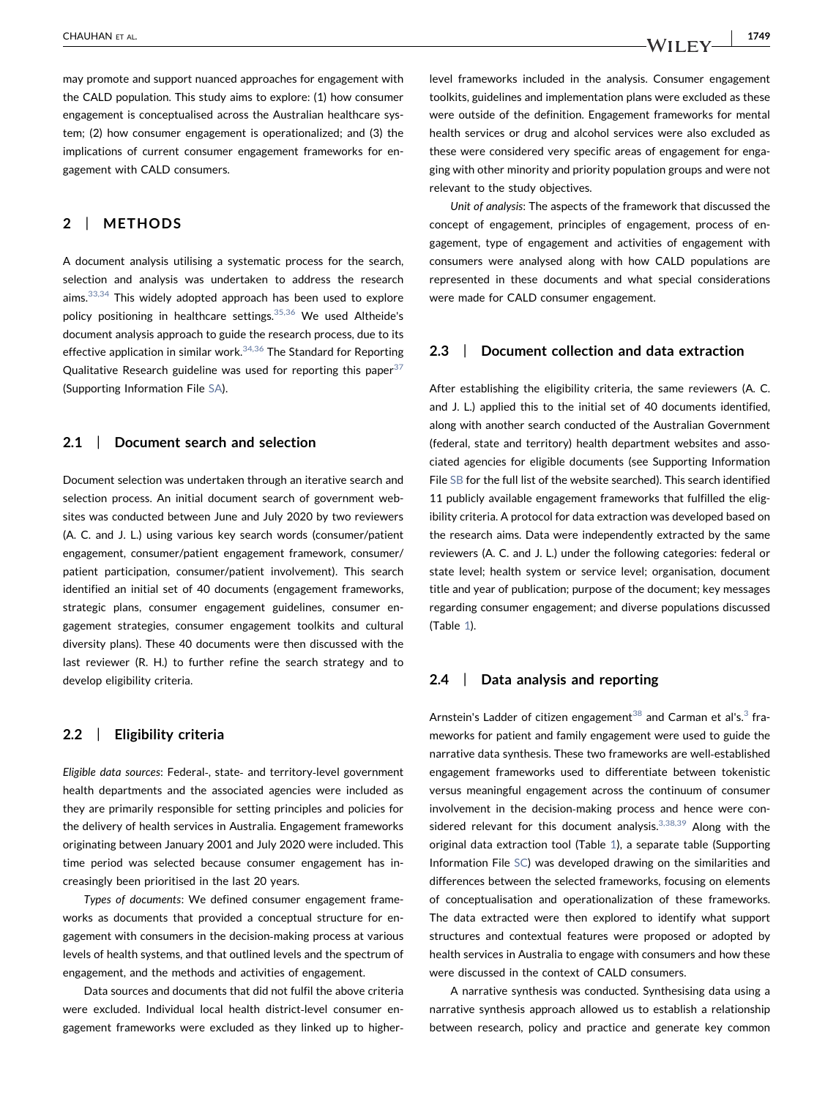may promote and support nuanced approaches for engagement with the CALD population. This study aims to explore: (1) how consumer engagement is conceptualised across the Australian healthcare system; (2) how consumer engagement is operationalized; and (3) the implications of current consumer engagement frameworks for engagement with CALD consumers.

# 2 | METHODS

A document analysis utilising a systematic process for the search, selection and analysis was undertaken to address the research  $a$ ims.<sup>[33,34](#page-14-6)</sup> This widely adopted approach has been used to explore policy positioning in healthcare settings.  $35,36$  We used Altheide's document analysis approach to guide the research process, due to its effective application in similar work. $34,36$  The Standard for Reporting Qualitative Research guideline was used for reporting this paper  $37$ (Supporting Information File SA).

# 2.1 | Document search and selection

Document selection was undertaken through an iterative search and selection process. An initial document search of government websites was conducted between June and July 2020 by two reviewers (A. C. and J. L.) using various key search words (consumer/patient engagement, consumer/patient engagement framework, consumer/ patient participation, consumer/patient involvement). This search identified an initial set of 40 documents (engagement frameworks, strategic plans, consumer engagement guidelines, consumer engagement strategies, consumer engagement toolkits and cultural diversity plans). These 40 documents were then discussed with the last reviewer (R. H.) to further refine the search strategy and to develop eligibility criteria.

### 2.2 | Eligibility criteria

Eligible data sources: Federal‐, state‐ and territory‐level government health departments and the associated agencies were included as they are primarily responsible for setting principles and policies for the delivery of health services in Australia. Engagement frameworks originating between January 2001 and July 2020 were included. This time period was selected because consumer engagement has increasingly been prioritised in the last 20 years.

Types of documents: We defined consumer engagement frameworks as documents that provided a conceptual structure for engagement with consumers in the decision‐making process at various levels of health systems, and that outlined levels and the spectrum of engagement, and the methods and activities of engagement.

Data sources and documents that did not fulfil the above criteria were excluded. Individual local health district-level consumer engagement frameworks were excluded as they linked up to higher‐ level frameworks included in the analysis. Consumer engagement toolkits, guidelines and implementation plans were excluded as these were outside of the definition. Engagement frameworks for mental health services or drug and alcohol services were also excluded as these were considered very specific areas of engagement for engaging with other minority and priority population groups and were not relevant to the study objectives.

Unit of analysis: The aspects of the framework that discussed the concept of engagement, principles of engagement, process of engagement, type of engagement and activities of engagement with consumers were analysed along with how CALD populations are represented in these documents and what special considerations were made for CALD consumer engagement.

# 2.3 | Document collection and data extraction

After establishing the eligibility criteria, the same reviewers (A. C. and J. L.) applied this to the initial set of 40 documents identified, along with another search conducted of the Australian Government (federal, state and territory) health department websites and associated agencies for eligible documents (see Supporting Information File SB for the full list of the website searched). This search identified 11 publicly available engagement frameworks that fulfilled the eligibility criteria. A protocol for data extraction was developed based on the research aims. Data were independently extracted by the same reviewers (A. C. and J. L.) under the following categories: federal or state level; health system or service level; organisation, document title and year of publication; purpose of the document; key messages regarding consumer engagement; and diverse populations discussed (Table [1](#page-3-0)).

### 2.4 | Data analysis and reporting

Arnstein's Ladder of citizen engagement<sup>[38](#page-14-10)</sup> and Carman et al's.<sup>[3](#page-13-2)</sup> frameworks for patient and family engagement were used to guide the narrative data synthesis. These two frameworks are well‐established engagement frameworks used to differentiate between tokenistic versus meaningful engagement across the continuum of consumer involvement in the decision-making process and hence were considered relevant for this document analysis.  $3,38,39$  Along with the original data extraction tool (Table [1](#page-3-0)), a separate table (Supporting Information File SC) was developed drawing on the similarities and differences between the selected frameworks, focusing on elements of conceptualisation and operationalization of these frameworks. The data extracted were then explored to identify what support structures and contextual features were proposed or adopted by health services in Australia to engage with consumers and how these were discussed in the context of CALD consumers.

A narrative synthesis was conducted. Synthesising data using a narrative synthesis approach allowed us to establish a relationship between research, policy and practice and generate key common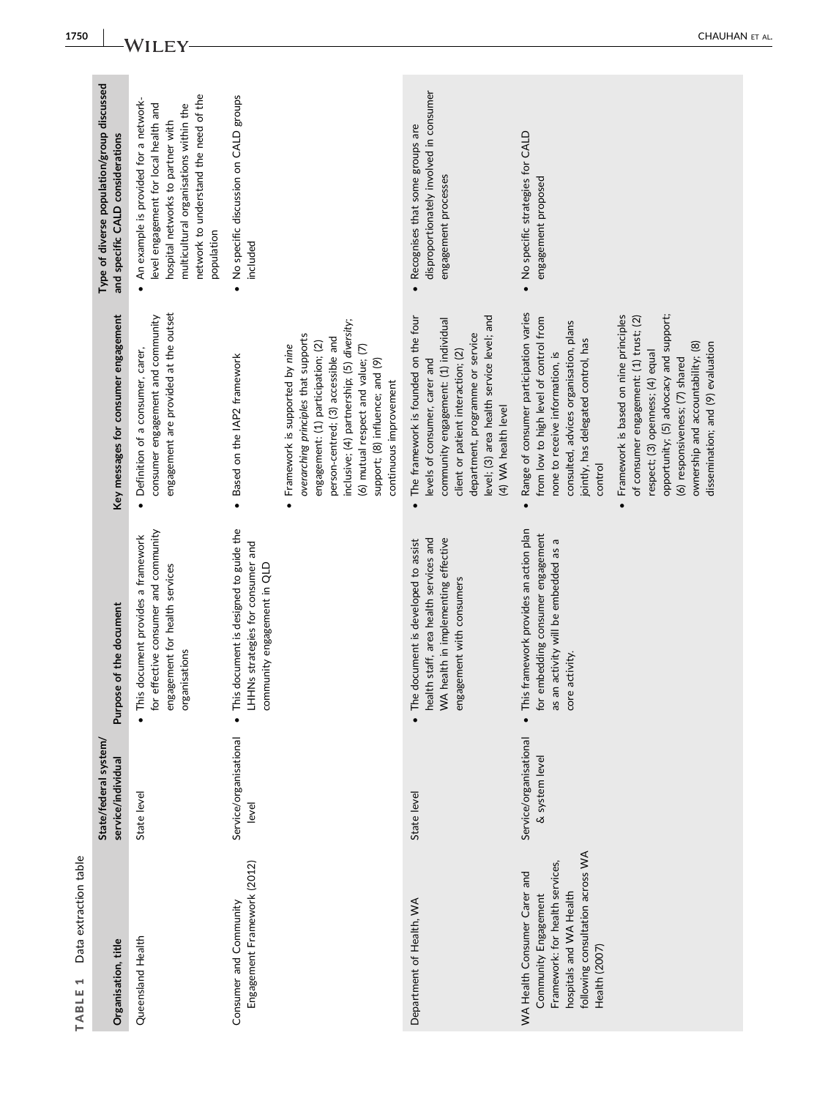<span id="page-3-0"></span>

| Data extraction table<br>$\overline{\phantom{0}}$<br>TABLE                                                                                                              |                                             |                                                                                                                                                   |                                                                                                                                                                                                                                                                                                                 |                                                                                                                                                                                                                      |
|-------------------------------------------------------------------------------------------------------------------------------------------------------------------------|---------------------------------------------|---------------------------------------------------------------------------------------------------------------------------------------------------|-----------------------------------------------------------------------------------------------------------------------------------------------------------------------------------------------------------------------------------------------------------------------------------------------------------------|----------------------------------------------------------------------------------------------------------------------------------------------------------------------------------------------------------------------|
| Organisation, title                                                                                                                                                     | State/federal system/<br>service/individual | Purpose of the document                                                                                                                           | Key messages for consumer engagement                                                                                                                                                                                                                                                                            | Type of diverse population/group discussed<br>and specific CALD considerations                                                                                                                                       |
| Queensland Health                                                                                                                                                       | State level                                 | for effective consumer and community<br>document provides a framework<br>engagement for health services<br>organisations<br>$\bullet$ This        | engagement are provided at the outset<br>consumer engagement and community<br>Definition of a consumer, carer,                                                                                                                                                                                                  | network to understand the need of the<br>An example is provided for a network-<br>level engagement for local health and<br>multicultural organisations within the<br>hospital networks to partner with<br>population |
| Engagement Framework (2012)<br>Consumer and Community                                                                                                                   | Service/organisational<br>level             | This document is designed to guide the<br>LHHNs strategies for consumer and<br>community engagement in QLD                                        | • Based on the IAP2 framework                                                                                                                                                                                                                                                                                   | No specific discussion on CALD groups<br>included<br>$\bullet$                                                                                                                                                       |
|                                                                                                                                                                         |                                             |                                                                                                                                                   | inclusive; (4) partnership; (5) diversity;<br>overarching principles that supports<br>person-centred; (3) accessible and<br>engagement: (1) participation; (2)<br>Framework is supported by nine<br>(6) mutual respect and value; (7)<br>support; (8) influence; and (9)<br>continuous improvement<br>$\bullet$ |                                                                                                                                                                                                                      |
| Department of Health, WA                                                                                                                                                | State level                                 | WA health in implementing effective<br>health staff, area health services and<br>The document is developed to assist<br>engagement with consumers | • The framework is founded on the four<br>level; (3) area health service level; and<br>community engagement: (1) individual<br>department, programme or service<br>client or patient interaction; (2)<br>levels of consumer, carer and<br>4) WA health level                                                    | disproportionately involved in consumer<br>Recognises that some groups are<br>engagement processes                                                                                                                   |
| following consultation across WA<br>Framework: for health services,<br>WA Health Consumer Carer and<br>hospitals and WA Health<br>Community Engagement<br>Health (2007) | Service/organisational<br>& system level    | This framework provides an action plan<br>for embedding consumer engagement<br>as an activity will be embedded as a<br>activity<br>core           | Range of consumer participation varies<br>from low to high level of control from<br>consulted, advices organisation, plans<br>jointly, has delegated control, has<br>none to receive information, is<br>control                                                                                                 | . No specific strategies for CALD<br>engagement proposed                                                                                                                                                             |
|                                                                                                                                                                         |                                             |                                                                                                                                                   | opportunity; (5) advocacy and support;<br>Framework is based on nine principles<br>of consumer engagement: (1) trust; (2)<br>dissemination; and (9) evaluation<br>ownership and accountability; (8)<br>respect; (3) openness; (4) equal<br>(6) responsiveness; (7) shared                                       |                                                                                                                                                                                                                      |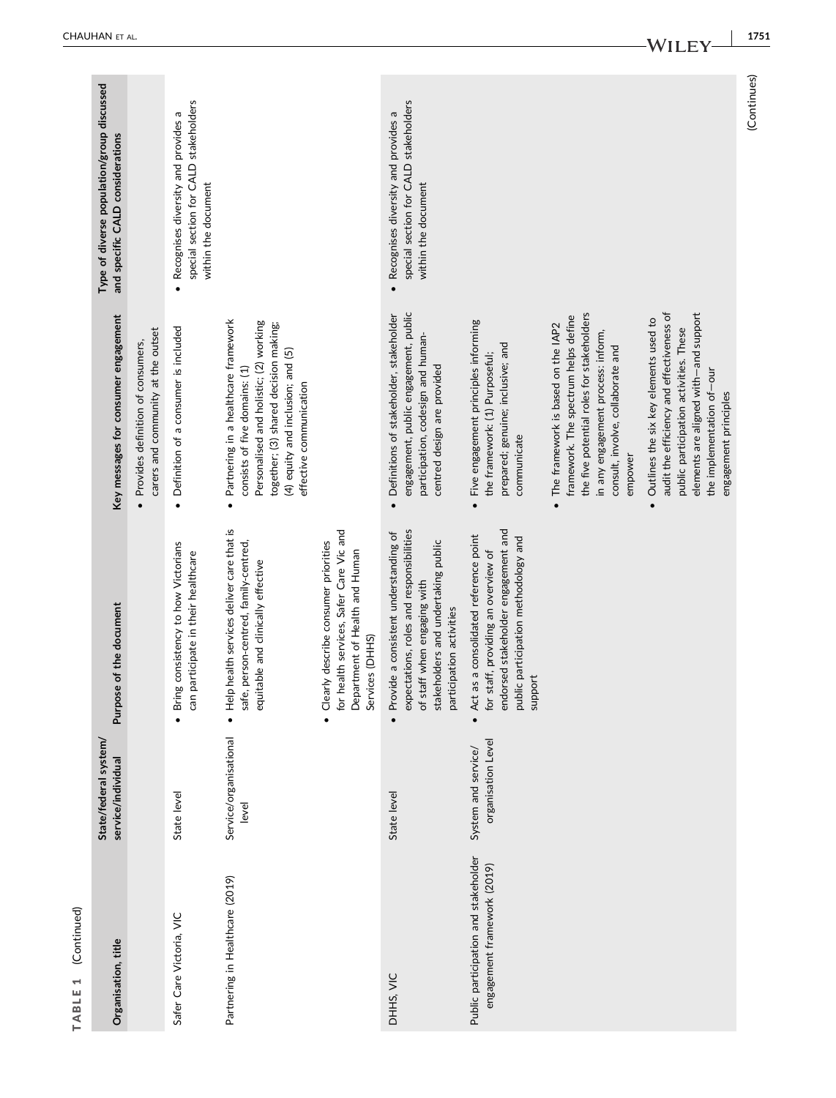| Organisation, title                                                 | State/federal system/<br>service/individual | Purpose of the document                                                                                                                                                                          | Key messages for consumer engagement                                                                                                                                                                                                     | Type of diverse population/group discussed<br>and specific CALD considerations                      |
|---------------------------------------------------------------------|---------------------------------------------|--------------------------------------------------------------------------------------------------------------------------------------------------------------------------------------------------|------------------------------------------------------------------------------------------------------------------------------------------------------------------------------------------------------------------------------------------|-----------------------------------------------------------------------------------------------------|
|                                                                     |                                             |                                                                                                                                                                                                  | carers and community at the outset<br>Provides definition of consumers,                                                                                                                                                                  |                                                                                                     |
| Safer Care Victoria, VIC                                            | State level                                 | Bring consistency to how Victorians<br>can participate in their healthcare                                                                                                                       | Definition of a consumer is included<br>$\bullet$                                                                                                                                                                                        | special section for CALD stakeholders<br>Recognises diversity and provides a<br>within the document |
| Partnering in Healthcare (2019)                                     | Service/organisational<br>level             | Help health services deliver care that is<br>safe, person-centred, family-centred,<br>equitable and clinically effective                                                                         | Partnering in a healthcare framework<br>Personalised and holistic; (2) working<br>together; (3) shared decision making;<br>(4) equity and inclusion; and (5)<br>consists of five domains: (1)<br>effective communication<br>$\bullet$    |                                                                                                     |
|                                                                     |                                             | for health services, Safer Care Vic and<br>Clearly describe consumer priorities<br>Department of Health and Human<br>Services (DHHS)<br>$\bullet$                                                |                                                                                                                                                                                                                                          |                                                                                                     |
| DHHS, VIC                                                           | State level                                 | expectations, roles and responsibilities<br>Provide a consistent understanding of<br>stakeholders and undertaking public<br>of staff when engaging with<br>participation activities<br>$\bullet$ | engagement, public engagement, public<br>Definitions of stakeholder, stakeholder<br>participation, codesign and human-<br>centred design are provided                                                                                    | special section for CALD stakeholders<br>Recognises diversity and provides a<br>within the document |
| Public participation and stakeholder<br>engagement framework (2019) | organisation Level<br>System and service/   | endorsed stakeholder engagement and<br>Act as a consolidated reference point<br>public participation methodology and<br>for staff, providing an overview of<br>support                           | Five engagement principles informing<br>prepared; genuine; inclusive; and<br>the framework: (1) Purposeful;<br>communicate                                                                                                               |                                                                                                     |
|                                                                     |                                             |                                                                                                                                                                                                  | the five potential roles for stakeholders<br>framework. The spectrum helps define<br>The framework is based on the IAP2<br>in any engagement process: inform,<br>consult, involve, collaborate and<br>empower                            |                                                                                                     |
|                                                                     |                                             |                                                                                                                                                                                                  | elements are aligned with-and support<br>audit the efficiency and effectiveness of<br>Outlines the six key elements used to<br>public participation activities. These<br>the implementation of-our<br>engagement principles<br>$\bullet$ |                                                                                                     |

TABLE 1 (Continued)

TABLE 1 (Continued)

| 1751

(Continues)

(Continues)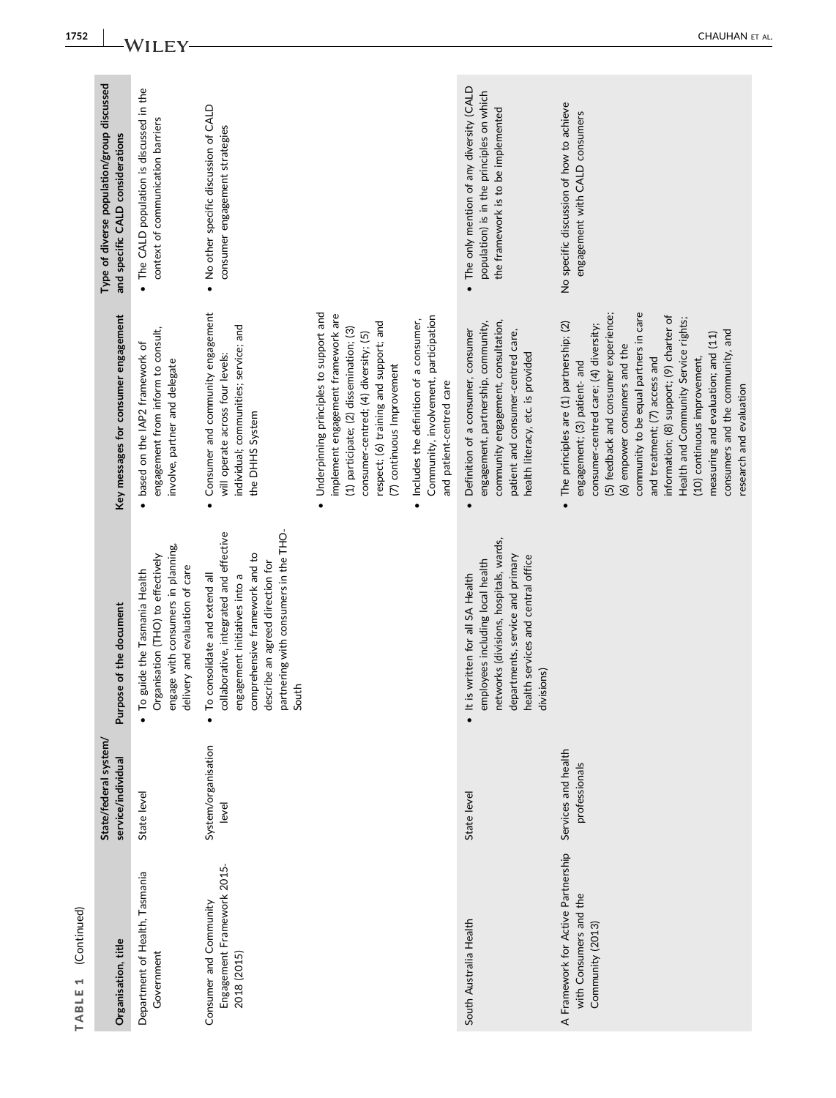| (Continued)<br>$\overline{\phantom{0}}$<br><b>TABLE</b>                          |                                             |                                                                                                                                                                                                                                   |                                                                                                                                                                                                                                                                                                                                                                                                                                                                                                             |                                                                                                                            |
|----------------------------------------------------------------------------------|---------------------------------------------|-----------------------------------------------------------------------------------------------------------------------------------------------------------------------------------------------------------------------------------|-------------------------------------------------------------------------------------------------------------------------------------------------------------------------------------------------------------------------------------------------------------------------------------------------------------------------------------------------------------------------------------------------------------------------------------------------------------------------------------------------------------|----------------------------------------------------------------------------------------------------------------------------|
| Organisation, title                                                              | State/federal system/<br>service/individual | of the document<br>Purpose                                                                                                                                                                                                        | Key messages for consumer engagement                                                                                                                                                                                                                                                                                                                                                                                                                                                                        | Type of diverse population/group discussed<br>and specific CALD considerations                                             |
| Department of Health, Tasmania<br>Government                                     | State level                                 | engage with consumers in planning,<br>Organisation (THO) to effectively<br>delivery and evaluation of care<br>• To guide the Tasmania Health                                                                                      | engagement from inform to consult,<br>based on the IAP2 framework of<br>involve, partner and delegate<br>$\bullet$                                                                                                                                                                                                                                                                                                                                                                                          | • The CALD population is discussed in the<br>context of communication barriers                                             |
| Engagement Framework 2015-<br>Consumer and Community<br>2018 (2015)              | System/organisation<br>level                | partnering with consumers in the THO-<br>collaborative, integrated and effective<br>comprehensive framework and to<br>describe an agreed direction for<br>To consolidate and extend all<br>engagement initiatives into a<br>South | Consumer and community engagement<br>individual; communities; service; and<br>will operate across four levels:<br>the DHHS System<br>$\bullet$                                                                                                                                                                                                                                                                                                                                                              | No other specific discussion of CALD<br>consumer engagement strategies<br>$\bullet$                                        |
|                                                                                  |                                             |                                                                                                                                                                                                                                   | Underpinning principles to support and<br>implement engagement framework are<br>respect; (6) training and support; and<br>(1) participate; (2) dissemination; (3)<br>consumer-centred; (4) diversity; (5)<br>(7) continuous Improvement                                                                                                                                                                                                                                                                     |                                                                                                                            |
|                                                                                  |                                             |                                                                                                                                                                                                                                   | Community, involvement, participation<br>Includes the definition of a consumer,<br>and patient-centred care<br>$\bullet$                                                                                                                                                                                                                                                                                                                                                                                    |                                                                                                                            |
| South Australia Health                                                           | State level                                 | networks (divisions, hospitals, wards,<br>departments, service and primary<br>health services and central office<br>employees including local health<br>• It is written for all SA Health<br>divisions)                           | community engagement, consultation,<br>engagement, partnership, community,<br>Definition of a consumer, consumer<br>patient and consumer-centred care,<br>health literacy, etc. is provided<br>$\bullet$                                                                                                                                                                                                                                                                                                    | The only mention of any diversity (CALD<br>population) is in the principles on which<br>the framework is to be implemented |
| A Framework for Active Partnership<br>with Consumers and the<br>Community (2013) | Services and health<br>professionals        |                                                                                                                                                                                                                                   | community to be equal partners in care<br>(5) feedback and consumer experience;<br>information; (8) support; (9) charter of<br>Health and Community Service rights;<br>The principles are (1) partnership; (2)<br>consumer-centred care; (4) diversity;<br>consumers and the community, and<br>measuring and evaluation; and (11)<br>(6) empower consumers and the<br>and treatment; (7) access and<br>(10) continuous improvement,<br>engagement; (3) patient- and<br>research and evaluation<br>$\bullet$ | No specific discussion of how to achieve<br>engagement with CALD consumers                                                 |

 $-WILEY$   $\overline{\phantom{...}}$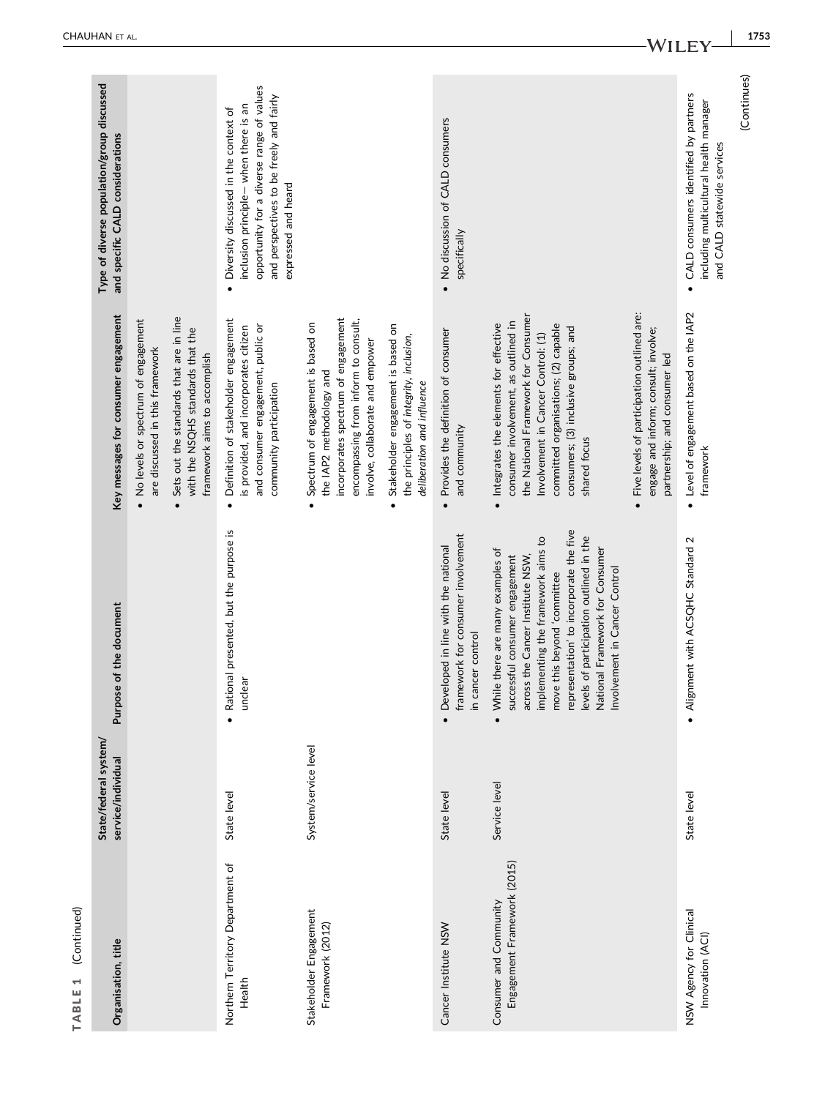| Organisation, title                                   | State/federal system/<br>service/individual | Purpose of the document                                                                                                                                                                                                                                                                                                               | Key messages for consumer engagement                                                                                                                                                                                                                         | Type of diverse population/group discussed<br>and specific CALD considerations                                                                                                                  |
|-------------------------------------------------------|---------------------------------------------|---------------------------------------------------------------------------------------------------------------------------------------------------------------------------------------------------------------------------------------------------------------------------------------------------------------------------------------|--------------------------------------------------------------------------------------------------------------------------------------------------------------------------------------------------------------------------------------------------------------|-------------------------------------------------------------------------------------------------------------------------------------------------------------------------------------------------|
|                                                       |                                             |                                                                                                                                                                                                                                                                                                                                       | No levels or spectrum of engagement<br>are discussed in this framework                                                                                                                                                                                       |                                                                                                                                                                                                 |
|                                                       |                                             |                                                                                                                                                                                                                                                                                                                                       | Sets out the standards that are in line<br>with the NSQHS standards that the<br>framework aims to accomplish<br>$\bullet$                                                                                                                                    |                                                                                                                                                                                                 |
| Northern Territory Department of<br>Health            | State level                                 | Rational presented, but the purpose is<br>unclear                                                                                                                                                                                                                                                                                     | Definition of stakeholder engagement<br>and consumer engagement, public or<br>is provided, and incorporates citizen<br>community participation<br>$\bullet$                                                                                                  | opportunity for a diverse range of values<br>and perspectives to be freely and fairly<br>inclusion principle - when there is an<br>Diversity discussed in the context of<br>expressed and heard |
| Stakeholder Engagement<br>Framework (2012)            | System/service level                        |                                                                                                                                                                                                                                                                                                                                       | incorporates spectrum of engagement<br>encompassing from inform to consult,<br>Spectrum of engagement is based on<br>involve, collaborate and empower<br>the IAP2 methodology and                                                                            |                                                                                                                                                                                                 |
|                                                       |                                             |                                                                                                                                                                                                                                                                                                                                       | Stakeholder engagement is based on<br>the principles of integrity, inclusion,<br>deliberation and influence<br>$\bullet$                                                                                                                                     |                                                                                                                                                                                                 |
| Cancer Institute NSW                                  | State level                                 | framework for consumer involvement<br>Developed in line with the national<br>in cancer control                                                                                                                                                                                                                                        | Provides the definition of consumer<br>and community<br>$\bullet$                                                                                                                                                                                            | . No discussion of CALD consumers<br>specifically                                                                                                                                               |
| Engagement Framework (2015)<br>Consumer and Community | Service level                               | representation' to incorporate the five<br>levels of participation outlined in the<br>implementing the framework aims to<br>National Framework for Consumer<br>While there are many examples of<br>successful consumer engagement<br>across the Cancer Institute NSW,<br>Involvement in Cancer Control<br>move this beyond 'committee | the National Framework for Consumer<br>consumer involvement, as outlined in<br>· Integrates the elements for effective<br>committed organisations; (2) capable<br>consumers; (3) inclusive groups; and<br>Involvement in Cancer Control: (1)<br>shared focus |                                                                                                                                                                                                 |
|                                                       |                                             |                                                                                                                                                                                                                                                                                                                                       | Five levels of participation outlined are:<br>engage and inform; consult; involve;<br>partnership; and consumer led<br>$\bullet$                                                                                                                             |                                                                                                                                                                                                 |
| NSW Agency for Clinical<br>Innovation (ACI)           | State level                                 | • Alignment with ACSQHC Standard 2                                                                                                                                                                                                                                                                                                    | Level of engagement based on the IAP2<br>framework<br>$\bullet$                                                                                                                                                                                              | CALD consumers identified by partners<br>including multicultural health manager<br>and CALD statewide services<br>$\bullet$                                                                     |
|                                                       |                                             |                                                                                                                                                                                                                                                                                                                                       |                                                                                                                                                                                                                                                              | (Continues)                                                                                                                                                                                     |

TABLE 1 (Continued)

TABLE 1 (Continued)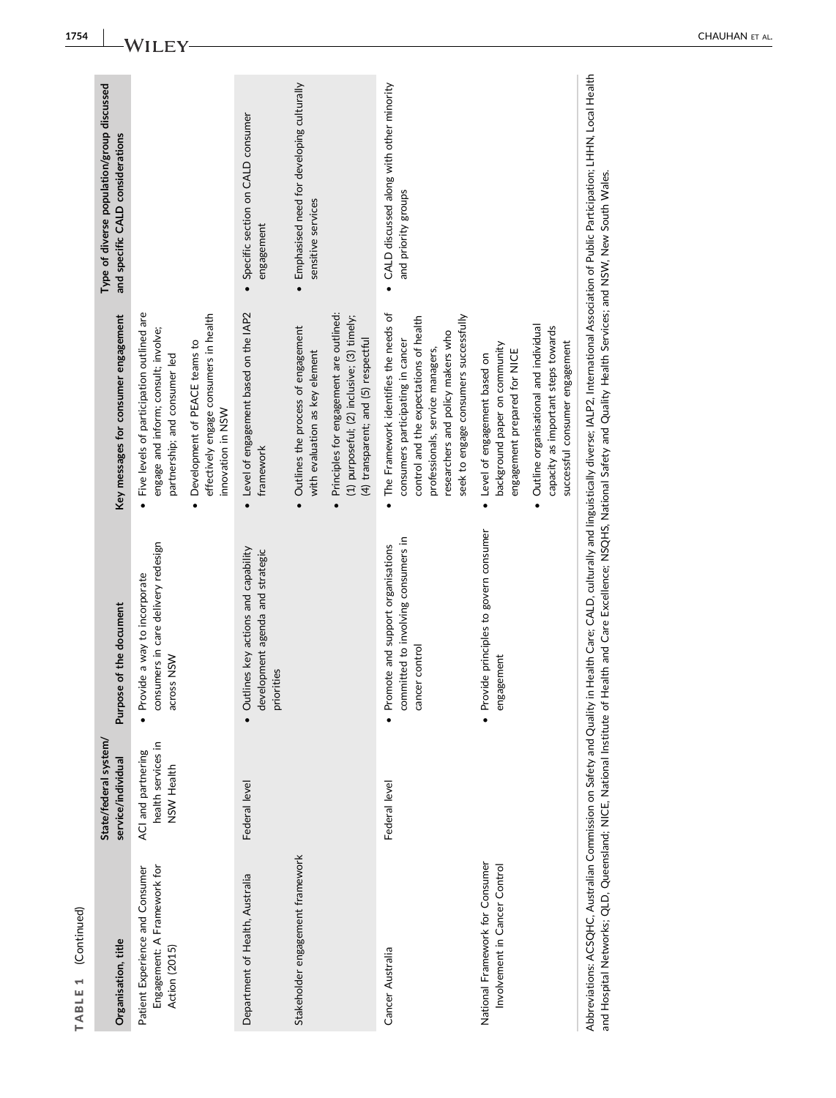| committed to involving consumers in<br>consumers in care delivery redesign<br>Promote and support organisations<br>Outlines key actions and capability<br>development agenda and strategic<br>Provide a way to incorporate<br>cancer control<br>across NSW<br>priorities<br>health services in<br>ACI and partnering<br>NSW Health<br>Federal level<br>Federal level<br>Stakeholder engagement framework<br>Engagement: A Framework for<br>Patient Experience and Consumer<br>Department of Health, Australia<br>Action (2015)<br>Cancer Australia |           | Key messages for consumer engagement                                                                                                                                                                                                   | and specific CALD considerations                                             |
|----------------------------------------------------------------------------------------------------------------------------------------------------------------------------------------------------------------------------------------------------------------------------------------------------------------------------------------------------------------------------------------------------------------------------------------------------------------------------------------------------------------------------------------------------|-----------|----------------------------------------------------------------------------------------------------------------------------------------------------------------------------------------------------------------------------------------|------------------------------------------------------------------------------|
|                                                                                                                                                                                                                                                                                                                                                                                                                                                                                                                                                    | $\bullet$ | Five levels of participation outlined are<br>engage and inform; consult; involve;<br>partnership; and consumer led                                                                                                                     |                                                                              |
|                                                                                                                                                                                                                                                                                                                                                                                                                                                                                                                                                    |           | effectively engage consumers in health<br>Development of PEACE teams to<br>innovation in NSW                                                                                                                                           |                                                                              |
|                                                                                                                                                                                                                                                                                                                                                                                                                                                                                                                                                    |           | • Level of engagement based on the IAP2<br>framework                                                                                                                                                                                   | • Specific section on CALD consumer<br>engagement                            |
|                                                                                                                                                                                                                                                                                                                                                                                                                                                                                                                                                    |           | Outlines the process of engagement<br>with evaluation as key element                                                                                                                                                                   | • Emphasised need for developing culturally<br>sensitive services            |
|                                                                                                                                                                                                                                                                                                                                                                                                                                                                                                                                                    |           | Principles for engagement are outlined:<br>(1) purposeful; (2) inclusive; (3) timely;<br>(4) transparent; and (5) respectful                                                                                                           |                                                                              |
|                                                                                                                                                                                                                                                                                                                                                                                                                                                                                                                                                    | $\bullet$ | The Framework identifies the needs of<br>control and the expectations of health<br>seek to engage consumers successfully<br>researchers and policy makers who<br>consumers participating in cancer<br>professionals, service managers, | CALD discussed along with other minority<br>and priority groups<br>$\bullet$ |
| · Provide principles to govern consumer<br>engagement<br>National Framework for Consumer<br>Involvement in Cancer Control                                                                                                                                                                                                                                                                                                                                                                                                                          |           | background paper on community<br>engagement prepared for NICE<br>· Level of engagement based on                                                                                                                                        |                                                                              |
|                                                                                                                                                                                                                                                                                                                                                                                                                                                                                                                                                    |           | Outline organisational and individual<br>capacity as important steps towards<br>successful consumer engagement                                                                                                                         |                                                                              |

1754

TABLE 1 (Continued)

TABLE 1 (Continued)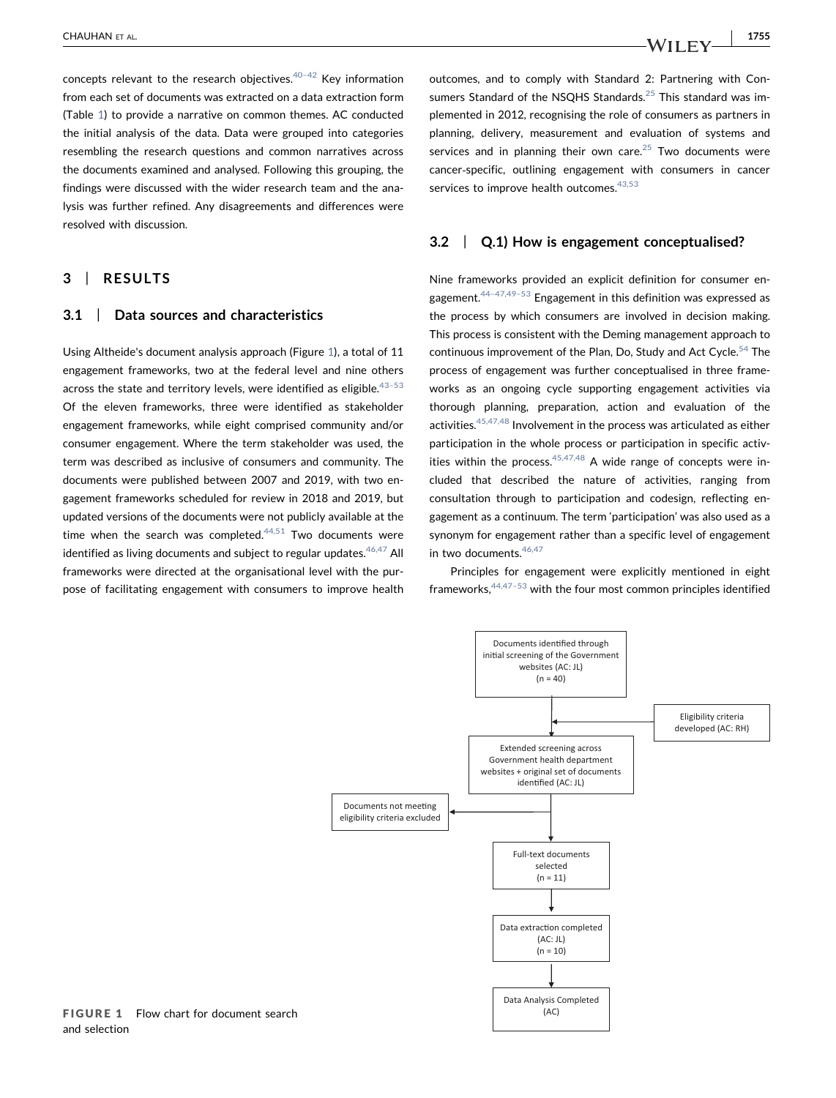concepts relevant to the research objectives. $40-42$  $40-42$  Key information from each set of documents was extracted on a data extraction form (Table [1](#page-3-0)) to provide a narrative on common themes. AC conducted the initial analysis of the data. Data were grouped into categories resembling the research questions and common narratives across the documents examined and analysed. Following this grouping, the findings were discussed with the wider research team and the analysis was further refined. Any disagreements and differences were resolved with discussion.

# 3 | RESULTS

#### 3.1 | Data sources and characteristics

Using Altheide's document analysis approach (Figure [1\)](#page-8-0), a total of 11 engagement frameworks, two at the federal level and nine others across the state and territory levels, were identified as eligible.<sup>43-53</sup> Of the eleven frameworks, three were identified as stakeholder engagement frameworks, while eight comprised community and/or consumer engagement. Where the term stakeholder was used, the term was described as inclusive of consumers and community. The documents were published between 2007 and 2019, with two engagement frameworks scheduled for review in 2018 and 2019, but updated versions of the documents were not publicly available at the time when the search was completed. $44,51$  Two documents were identified as living documents and subject to regular updates.  $46,47$  All frameworks were directed at the organisational level with the purpose of facilitating engagement with consumers to improve health outcomes, and to comply with Standard 2: Partnering with Con-sumers Standard of the NSQHS Standards.<sup>[25](#page-14-15)</sup> This standard was implemented in 2012, recognising the role of consumers as partners in planning, delivery, measurement and evaluation of systems and services and in planning their own care. $25$  Two documents were cancer‐specific, outlining engagement with consumers in cancer services to improve health outcomes.<sup>[43,53](#page-14-12)</sup>

# 3.2 | Q.1) How is engagement conceptualised?

Nine frameworks provided an explicit definition for consumer engagement.  $44-47,49-53$  $44-47,49-53$  $44-47,49-53$  Engagement in this definition was expressed as the process by which consumers are involved in decision making. This process is consistent with the Deming management approach to continuous improvement of the Plan, Do, Study and Act Cycle. $54$  The process of engagement was further conceptualised in three frameworks as an ongoing cycle supporting engagement activities via thorough planning, preparation, action and evaluation of the activities.  $45,47,48$  Involvement in the process was articulated as either participation in the whole process or participation in specific activities within the process.  $45,47,48$  A wide range of concepts were included that described the nature of activities, ranging from consultation through to participation and codesign, reflecting engagement as a continuum. The term 'participation' was also used as a synonym for engagement rather than a specific level of engagement in two documents. [46,47](#page-14-14)

Principles for engagement were explicitly mentioned in eight frameworks,  $44,47-53$  $44,47-53$  with the four most common principles identified

<span id="page-8-0"></span>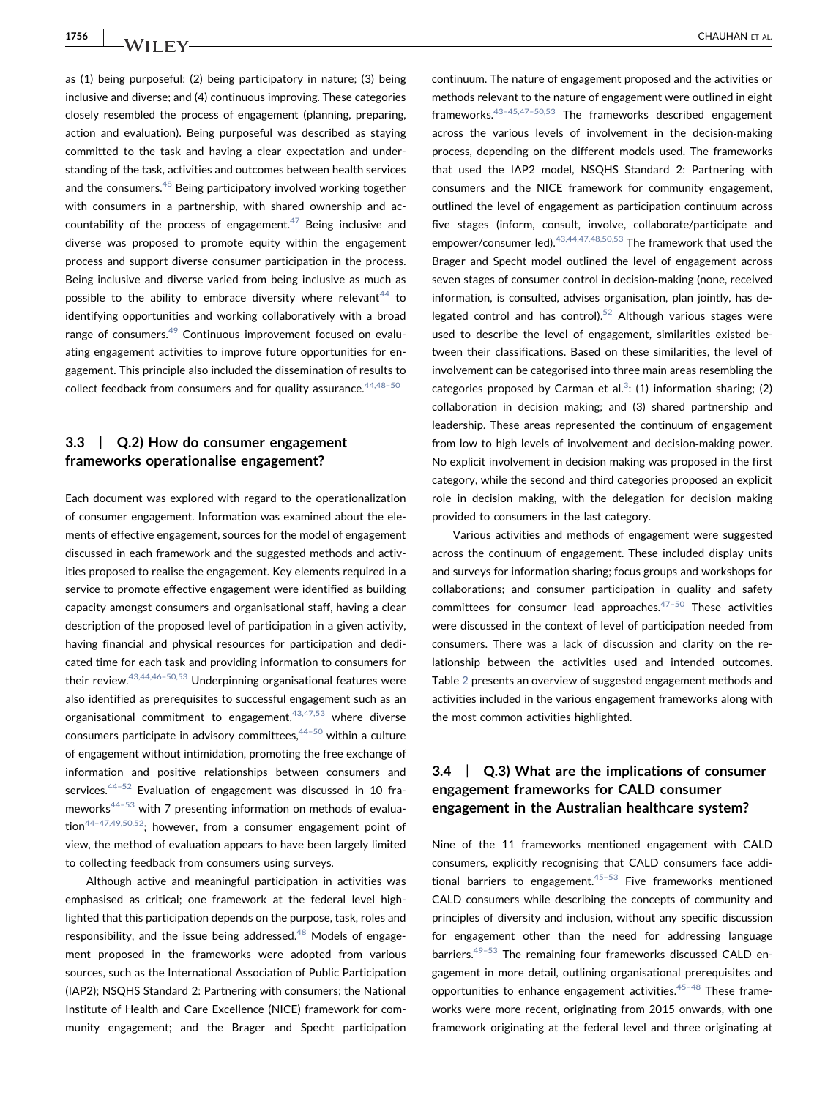as (1) being purposeful: (2) being participatory in nature; (3) being inclusive and diverse; and (4) continuous improving. These categories closely resembled the process of engagement (planning, preparing, action and evaluation). Being purposeful was described as staying committed to the task and having a clear expectation and understanding of the task, activities and outcomes between health services and the consumers. $48$  Being participatory involved working together with consumers in a partnership, with shared ownership and ac-countability of the process of engagement.<sup>[47](#page-14-19)</sup> Being inclusive and diverse was proposed to promote equity within the engagement process and support diverse consumer participation in the process. Being inclusive and diverse varied from being inclusive as much as possible to the ability to embrace diversity where relevant<sup>[44](#page-14-13)</sup> to identifying opportunities and working collaboratively with a broad range of consumers.<sup>[49](#page-14-20)</sup> Continuous improvement focused on evaluating engagement activities to improve future opportunities for engagement. This principle also included the dissemination of results to collect feedback from consumers and for quality assurance.  $44,48-50$  $44,48-50$ 

# 3.3 | Q.2) How do consumer engagement frameworks operationalise engagement?

Each document was explored with regard to the operationalization of consumer engagement. Information was examined about the elements of effective engagement, sources for the model of engagement discussed in each framework and the suggested methods and activities proposed to realise the engagement. Key elements required in a service to promote effective engagement were identified as building capacity amongst consumers and organisational staff, having a clear description of the proposed level of participation in a given activity, having financial and physical resources for participation and dedicated time for each task and providing information to consumers for their review.[43,44,46](#page-14-12)–50,53 Underpinning organisational features were also identified as prerequisites to successful engagement such as an organisational commitment to engagement, $43,47,53$  where diverse consumers participate in advisory committees, $44-50$  $44-50$  within a culture of engagement without intimidation, promoting the free exchange of information and positive relationships between consumers and services. $44-52$  $44-52$  Evaluation of engagement was discussed in 10 frameworks $44-53$  $44-53$  with 7 presenting information on methods of evaluation44–[47,49,50,52;](#page-14-13) however, from a consumer engagement point of view, the method of evaluation appears to have been largely limited to collecting feedback from consumers using surveys.

Although active and meaningful participation in activities was emphasised as critical; one framework at the federal level highlighted that this participation depends on the purpose, task, roles and responsibility, and the issue being addressed. $48$  Models of engagement proposed in the frameworks were adopted from various sources, such as the International Association of Public Participation (IAP2); NSQHS Standard 2: Partnering with consumers; the National Institute of Health and Care Excellence (NICE) framework for community engagement; and the Brager and Specht participation continuum. The nature of engagement proposed and the activities or methods relevant to the nature of engagement were outlined in eight frameworks.43–[45,47](#page-14-12)–50,53 The frameworks described engagement across the various levels of involvement in the decision‐making process, depending on the different models used. The frameworks that used the IAP2 model, NSQHS Standard 2: Partnering with consumers and the NICE framework for community engagement, outlined the level of engagement as participation continuum across five stages (inform, consult, involve, collaborate/participate and empower/consumer-led).<sup>[43,44,47,48,50,53](#page-14-12)</sup> The framework that used the Brager and Specht model outlined the level of engagement across seven stages of consumer control in decision‐making (none, received information, is consulted, advises organisation, plan jointly, has delegated control and has control).<sup>52</sup> Although various stages were used to describe the level of engagement, similarities existed between their classifications. Based on these similarities, the level of involvement can be categorised into three main areas resembling the categories proposed by Carman et al.<sup>3</sup>: (1) information sharing; (2) collaboration in decision making; and (3) shared partnership and leadership. These areas represented the continuum of engagement from low to high levels of involvement and decision-making power. No explicit involvement in decision making was proposed in the first category, while the second and third categories proposed an explicit role in decision making, with the delegation for decision making provided to consumers in the last category.

Various activities and methods of engagement were suggested across the continuum of engagement. These included display units and surveys for information sharing; focus groups and workshops for collaborations; and consumer participation in quality and safety committees for consumer lead approaches. $47-50$  $47-50$  These activities were discussed in the context of level of participation needed from consumers. There was a lack of discussion and clarity on the relationship between the activities used and intended outcomes. Table [2](#page-10-0) presents an overview of suggested engagement methods and activities included in the various engagement frameworks along with the most common activities highlighted.

# 3.4 | Q.3) What are the implications of consumer engagement frameworks for CALD consumer engagement in the Australian healthcare system?

Nine of the 11 frameworks mentioned engagement with CALD consumers, explicitly recognising that CALD consumers face additional barriers to engagement.  $45-53$  $45-53$  Five frameworks mentioned CALD consumers while describing the concepts of community and principles of diversity and inclusion, without any specific discussion for engagement other than the need for addressing language barriers.<sup>49-53</sup> The remaining four frameworks discussed CALD engagement in more detail, outlining organisational prerequisites and opportunities to enhance engagement activities. $45-48$  $45-48$  These frameworks were more recent, originating from 2015 onwards, with one framework originating at the federal level and three originating at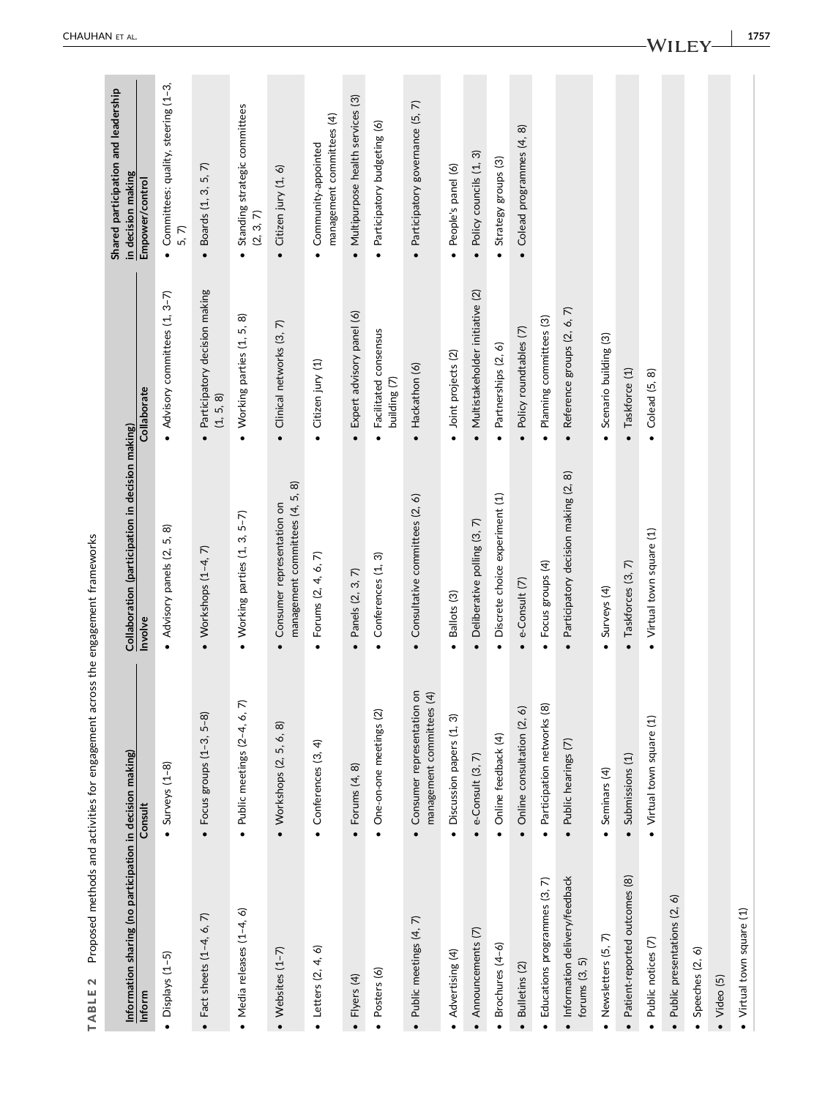<span id="page-10-0"></span>

| $\mathbf{\Omega}$<br><b>TABLE</b>                         | Proposed methods and activities for engagement                          | across the engagement frameworks                                |                                                         |                                                                 |
|-----------------------------------------------------------|-------------------------------------------------------------------------|-----------------------------------------------------------------|---------------------------------------------------------|-----------------------------------------------------------------|
| Information sharing (no participation in decision making) |                                                                         | Collaboration (participation in decision making)                |                                                         | Shared participation and leadership<br>in decision making       |
| Inform                                                    | Consult                                                                 | Involve                                                         | Collaborate                                             | Empower/control                                                 |
| Displays (1-5)                                            | Surveys $(1-8)$                                                         | ක<br>5,<br>Advisory panels (2,                                  | Advisory committees (1, 3-7)                            | Committees: quality, steering (1-3,<br>5,7)                     |
| Fact sheets (1-4, 6, 7)                                   | $5 - 8$<br>$\bullet$ Focus groups (1-3,                                 | $\widehat{\pi}$<br>$\bullet$ Workshops (1-4,                    | Participatory decision making<br>(1, 5, 8)<br>$\bullet$ | $\widehat{\pi}$<br>$\overline{5}$<br>Boards (1, 3,<br>$\bullet$ |
| $\bullet$ Media releases $(1-4, 6)$                       | 穴<br>Public meetings (2-4, 6,<br>$\bullet$                              | $5 - 7$<br>• Working parties (1, 3,                             | 5, 8)<br>• Working parties (1,                          | Standing strategic committees<br>(2, 3, 7)<br>$\bullet$         |
| $\bullet$ Websites $(1-7)$                                | $\bullet$ Workshops $(2, 5, 6, 8)$                                      | ක<br>management committees (4, 5,<br>Consumer representation on | Clinical networks (3, 7)<br>$\bullet$                   | $\bullet$ Citizen jury (1, 6)                                   |
| $\bullet$ Letters (2, 4, 6)                               | Conferences (3, 4)<br>$\bullet$                                         | $\widehat{\sim}$<br>Forums (2, 4, 6,<br>$\bullet$               | Citizen jury (1)<br>$\bullet$                           | management committees (4)<br>Community-appointed                |
| Flyers (4)                                                | $\bullet$ Forums $(4, 8)$                                               | Panels (2, 3, 7)<br>$\bullet$                                   | Expert advisory panel (6)<br>$\bullet$                  | Multipurpose health services (3)<br>$\bullet$                   |
| Posters (6)<br>$\bullet$                                  | One-on-one meetings (2)<br>$\bullet$                                    | Conferences (1, 3)<br>$\bullet$                                 | Facilitated consensus<br>building (7)<br>$\bullet$      | Participatory budgeting (6)<br>$\bullet$                        |
| Public meetings (4, 7)                                    | 5<br>$\overline{4}$<br>Consumer representation<br>management committees | Consultative committees (2, 6)<br>$\bullet$                     | Hackathon (6)<br>$\bullet$                              | Participatory governance (5, 7)<br>$\bullet$                    |
| Advertising (4)                                           | $\widehat{\mathcal{C}}$<br>Discussion papers (1,                        | Ballots (3)<br>٠                                                | Joint projects (2)                                      | People's panel (6)                                              |
| • Announcements (7)                                       | e-Consult (3, 7)                                                        | Deliberative polling (3, 7)<br>$\bullet$                        | Multistakeholder initiative (2)                         | Policy councils (1, 3)                                          |
| Brochures (4-6)<br>$\bullet$                              | Online feedback (4)                                                     | Discrete choice experiment (1)<br>$\bullet$                     | Partnerships (2, 6)<br>$\bullet$                        | Strategy groups (3)                                             |
| Bulletins (2)<br>$\bullet$                                | Online consultation (2, 6)                                              | e-Consult (7)<br>$\bullet$                                      | Policy roundtables (7)<br>$\bullet$                     | Colead programmes (4, 8)                                        |
| Educations programmes (3, 7)                              | Participation networks (8)                                              | Focus groups (4)<br>$\bullet$                                   | Planning committees (3)<br>$\bullet$                    |                                                                 |
| • Information delivery/feedback<br>6<br>forums (3,        | Public hearings (7)<br>$\bullet$                                        | Participatory decision making (2, 8)<br>$\bullet$               | Reference groups (2, 6, 7)<br>$\bullet$                 |                                                                 |
| Newsletters (5, 7)                                        | Seminars (4)                                                            | Surveys (4)<br>$\bullet$                                        | Scenario building (3)<br>$\bullet$                      |                                                                 |
| Patient-reported outcomes (8)                             | Submissions (1)                                                         | $\bullet$ Taskforces (3, 7)                                     | Taskforce (1)                                           |                                                                 |
| Public notices (7)<br>$\bullet$                           | • Virtual town square (1)                                               | • Virtual town square (1)                                       | Colead (5, 8)                                           |                                                                 |
| Public presentations (2, 6)<br>$\bullet$                  |                                                                         |                                                                 |                                                         |                                                                 |
| Speeches (2, 6)                                           |                                                                         |                                                                 |                                                         |                                                                 |
| $\bullet$ Video (5)                                       |                                                                         |                                                                 |                                                         |                                                                 |
| • Virtual town square (1)                                 |                                                                         |                                                                 |                                                         |                                                                 |

CHAUHAN ET AL .

-WILEY

| 1757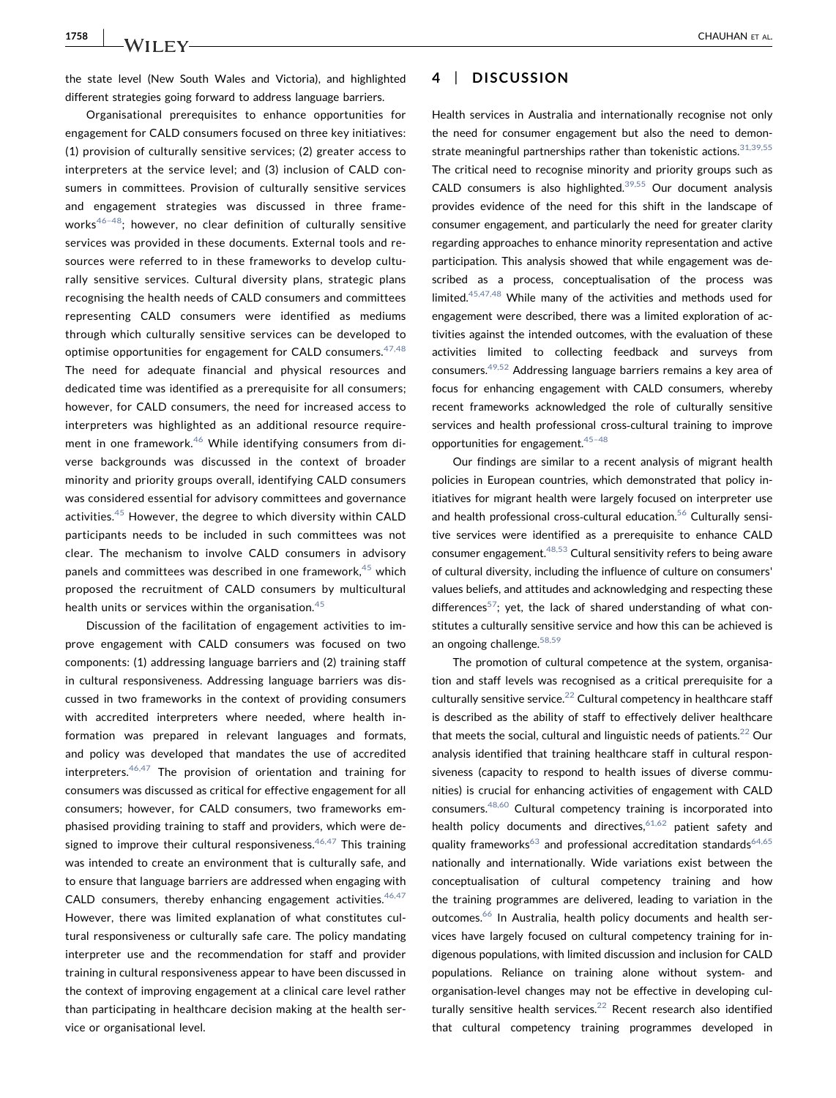the state level (New South Wales and Victoria), and highlighted different strategies going forward to address language barriers.

Organisational prerequisites to enhance opportunities for engagement for CALD consumers focused on three key initiatives: (1) provision of culturally sensitive services; (2) greater access to interpreters at the service level; and (3) inclusion of CALD consumers in committees. Provision of culturally sensitive services and engagement strategies was discussed in three frameworks $46-48$ ; however, no clear definition of culturally sensitive services was provided in these documents. External tools and resources were referred to in these frameworks to develop culturally sensitive services. Cultural diversity plans, strategic plans recognising the health needs of CALD consumers and committees representing CALD consumers were identified as mediums through which culturally sensitive services can be developed to optimise opportunities for engagement for CALD consumers.  $47,48$ The need for adequate financial and physical resources and dedicated time was identified as a prerequisite for all consumers; however, for CALD consumers, the need for increased access to interpreters was highlighted as an additional resource require-ment in one framework.<sup>[46](#page-14-14)</sup> While identifying consumers from diverse backgrounds was discussed in the context of broader minority and priority groups overall, identifying CALD consumers was considered essential for advisory committees and governance activities.[45](#page-14-17) However, the degree to which diversity within CALD participants needs to be included in such committees was not clear. The mechanism to involve CALD consumers in advisory panels and committees was described in one framework, $45$  which proposed the recruitment of CALD consumers by multicultural health units or services within the organisation.<sup>[45](#page-14-17)</sup>

Discussion of the facilitation of engagement activities to improve engagement with CALD consumers was focused on two components: (1) addressing language barriers and (2) training staff in cultural responsiveness. Addressing language barriers was discussed in two frameworks in the context of providing consumers with accredited interpreters where needed, where health information was prepared in relevant languages and formats, and policy was developed that mandates the use of accredited interpreters. $46,47$  The provision of orientation and training for consumers was discussed as critical for effective engagement for all consumers; however, for CALD consumers, two frameworks emphasised providing training to staff and providers, which were designed to improve their cultural responsiveness.  $46,47$  This training was intended to create an environment that is culturally safe, and to ensure that language barriers are addressed when engaging with CALD consumers, thereby enhancing engagement activities. $46,47$ However, there was limited explanation of what constitutes cultural responsiveness or culturally safe care. The policy mandating interpreter use and the recommendation for staff and provider training in cultural responsiveness appear to have been discussed in the context of improving engagement at a clinical care level rather than participating in healthcare decision making at the health service or organisational level.

# 4 | DISCUSSION

Health services in Australia and internationally recognise not only the need for consumer engagement but also the need to demonstrate meaningful partnerships rather than tokenistic actions.  $31,39,55$ The critical need to recognise minority and priority groups such as CALD consumers is also highlighted. $39,55$  Our document analysis provides evidence of the need for this shift in the landscape of consumer engagement, and particularly the need for greater clarity regarding approaches to enhance minority representation and active participation. This analysis showed that while engagement was described as a process, conceptualisation of the process was limited.[45,47,48](#page-14-17) While many of the activities and methods used for engagement were described, there was a limited exploration of activities against the intended outcomes, with the evaluation of these activities limited to collecting feedback and surveys from consumers[.49,52](#page-14-20) Addressing language barriers remains a key area of focus for enhancing engagement with CALD consumers, whereby recent frameworks acknowledged the role of culturally sensitive services and health professional cross-cultural training to improve opportunities for engagement.  $45-48$  $45-48$ 

Our findings are similar to a recent analysis of migrant health policies in European countries, which demonstrated that policy initiatives for migrant health were largely focused on interpreter use and health professional cross-cultural education.<sup>[56](#page-14-24)</sup> Culturally sensitive services were identified as a prerequisite to enhance CALD consumer engagement.  $48,53$  Cultural sensitivity refers to being aware of cultural diversity, including the influence of culture on consumers' values beliefs, and attitudes and acknowledging and respecting these differences<sup>57</sup>; yet, the lack of shared understanding of what constitutes a culturally sensitive service and how this can be achieved is an ongoing challenge.<sup>58,59</sup>

The promotion of cultural competence at the system, organisation and staff levels was recognised as a critical prerequisite for a culturally sensitive service. $^{22}$  Cultural competency in healthcare staff is described as the ability of staff to effectively deliver healthcare that meets the social, cultural and linguistic needs of patients. $^{22}$  Our analysis identified that training healthcare staff in cultural responsiveness (capacity to respond to health issues of diverse communities) is crucial for enhancing activities of engagement with CALD consumers[.48,60](#page-14-18) Cultural competency training is incorporated into health policy documents and directives,  $61,62$  patient safety and quality frameworks<sup>63</sup> and professional accreditation standards<sup>64,65</sup> nationally and internationally. Wide variations exist between the conceptualisation of cultural competency training and how the training programmes are delivered, leading to variation in the outcomes.<sup>[66](#page-15-4)</sup> In Australia, health policy documents and health services have largely focused on cultural competency training for indigenous populations, with limited discussion and inclusion for CALD populations. Reliance on training alone without system‐ and organisation‐level changes may not be effective in developing culturally sensitive health services.<sup>22</sup> Recent research also identified that cultural competency training programmes developed in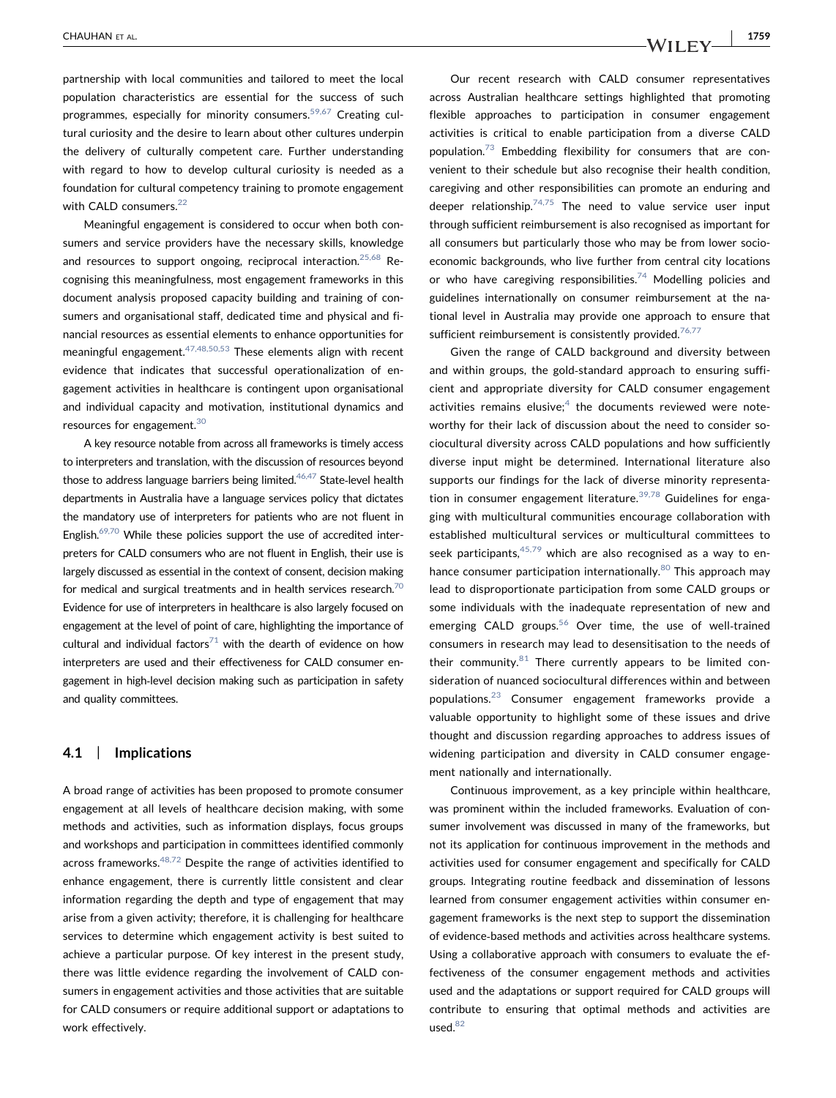partnership with local communities and tailored to meet the local population characteristics are essential for the success of such programmes, especially for minority consumers.<sup>[59,67](#page-15-5)</sup> Creating cultural curiosity and the desire to learn about other cultures underpin the delivery of culturally competent care. Further understanding with regard to how to develop cultural curiosity is needed as a foundation for cultural competency training to promote engagement with CALD consumers.<sup>22</sup>

Meaningful engagement is considered to occur when both consumers and service providers have the necessary skills, knowledge and resources to support ongoing, reciprocal interaction.<sup>25,68</sup> Recognising this meaningfulness, most engagement frameworks in this document analysis proposed capacity building and training of consumers and organisational staff, dedicated time and physical and financial resources as essential elements to enhance opportunities for meaningful engagement. $47,48,50,53$  These elements align with recent evidence that indicates that successful operationalization of engagement activities in healthcare is contingent upon organisational and individual capacity and motivation, institutional dynamics and resources for engagement.<sup>[30](#page-14-27)</sup>

A key resource notable from across all frameworks is timely access to interpreters and translation, with the discussion of resources beyond those to address language barriers being limited. $46,47$  State-level health departments in Australia have a language services policy that dictates the mandatory use of interpreters for patients who are not fluent in English. $69,70$  While these policies support the use of accredited interpreters for CALD consumers who are not fluent in English, their use is largely discussed as essential in the context of consent, decision making for medical and surgical treatments and in health services research. $70$ Evidence for use of interpreters in healthcare is also largely focused on engagement at the level of point of care, highlighting the importance of cultural and individual factors<sup>71</sup> with the dearth of evidence on how interpreters are used and their effectiveness for CALD consumer engagement in high‐level decision making such as participation in safety and quality committees.

#### 4.1 | Implications

A broad range of activities has been proposed to promote consumer engagement at all levels of healthcare decision making, with some methods and activities, such as information displays, focus groups and workshops and participation in committees identified commonly across frameworks. $48,72$  Despite the range of activities identified to enhance engagement, there is currently little consistent and clear information regarding the depth and type of engagement that may arise from a given activity; therefore, it is challenging for healthcare services to determine which engagement activity is best suited to achieve a particular purpose. Of key interest in the present study, there was little evidence regarding the involvement of CALD consumers in engagement activities and those activities that are suitable for CALD consumers or require additional support or adaptations to work effectively.

Our recent research with CALD consumer representatives across Australian healthcare settings highlighted that promoting flexible approaches to participation in consumer engagement activities is critical to enable participation from a diverse CALD population. $73$  Embedding flexibility for consumers that are convenient to their schedule but also recognise their health condition, caregiving and other responsibilities can promote an enduring and deeper relationship.<sup>[74,75](#page-15-10)</sup> The need to value service user input through sufficient reimbursement is also recognised as important for all consumers but particularly those who may be from lower socioeconomic backgrounds, who live further from central city locations or who have caregiving responsibilities. $74$  Modelling policies and guidelines internationally on consumer reimbursement at the national level in Australia may provide one approach to ensure that sufficient reimbursement is consistently provided.<sup>[76,77](#page-15-11)</sup>

Given the range of CALD background and diversity between and within groups, the gold‐standard approach to ensuring sufficient and appropriate diversity for CALD consumer engagement activities remains elusive; $4$  the documents reviewed were noteworthy for their lack of discussion about the need to consider sociocultural diversity across CALD populations and how sufficiently diverse input might be determined. International literature also supports our findings for the lack of diverse minority representation in consumer engagement literature. $39,78$  Guidelines for engaging with multicultural communities encourage collaboration with established multicultural services or multicultural committees to seek participants,  $45,79$  which are also recognised as a way to en-hance consumer participation internationally.<sup>[80](#page-15-12)</sup> This approach may lead to disproportionate participation from some CALD groups or some individuals with the inadequate representation of new and emerging CALD groups. $56$  Over time, the use of well-trained consumers in research may lead to desensitisation to the needs of their community. $81$  There currently appears to be limited consideration of nuanced sociocultural differences within and between populations.[23](#page-14-4) Consumer engagement frameworks provide a valuable opportunity to highlight some of these issues and drive thought and discussion regarding approaches to address issues of widening participation and diversity in CALD consumer engagement nationally and internationally.

Continuous improvement, as a key principle within healthcare, was prominent within the included frameworks. Evaluation of consumer involvement was discussed in many of the frameworks, but not its application for continuous improvement in the methods and activities used for consumer engagement and specifically for CALD groups. Integrating routine feedback and dissemination of lessons learned from consumer engagement activities within consumer engagement frameworks is the next step to support the dissemination of evidence‐based methods and activities across healthcare systems. Using a collaborative approach with consumers to evaluate the effectiveness of the consumer engagement methods and activities used and the adaptations or support required for CALD groups will contribute to ensuring that optimal methods and activities are used. $82$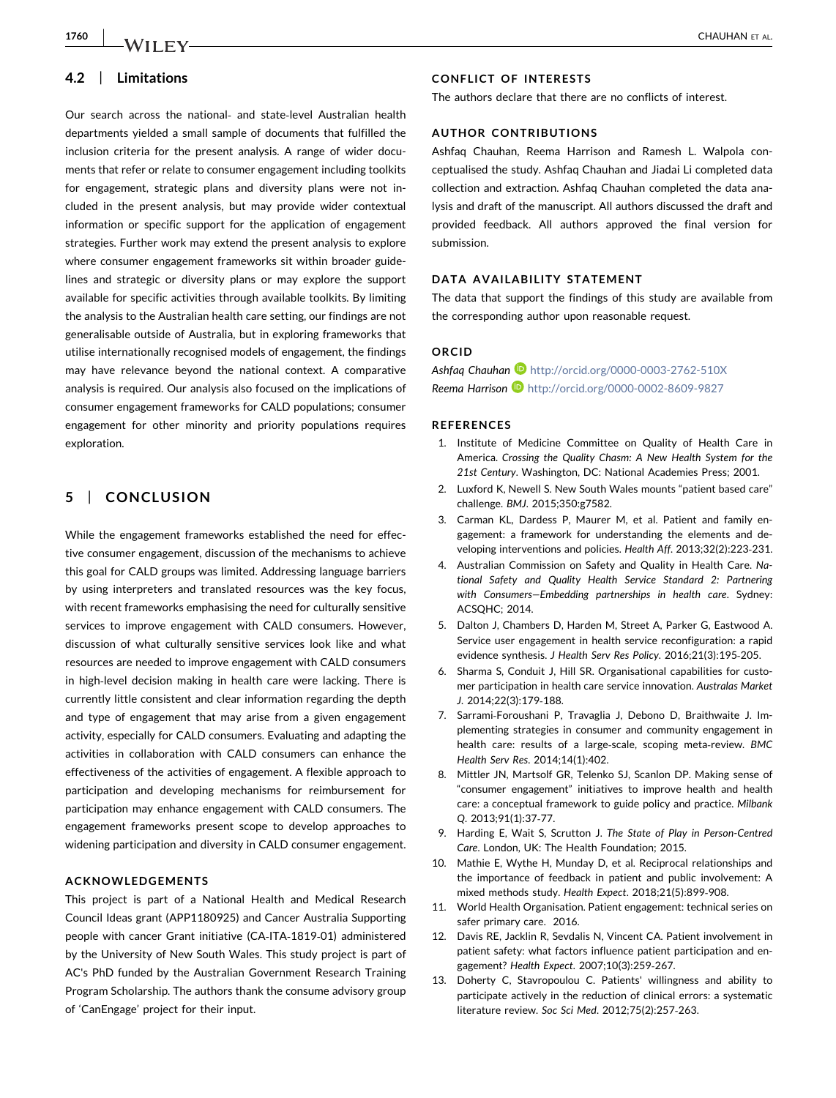# 4.2 | Limitations

Our search across the national‐ and state‐level Australian health departments yielded a small sample of documents that fulfilled the inclusion criteria for the present analysis. A range of wider documents that refer or relate to consumer engagement including toolkits for engagement, strategic plans and diversity plans were not included in the present analysis, but may provide wider contextual information or specific support for the application of engagement strategies. Further work may extend the present analysis to explore where consumer engagement frameworks sit within broader guidelines and strategic or diversity plans or may explore the support available for specific activities through available toolkits. By limiting the analysis to the Australian health care setting, our findings are not generalisable outside of Australia, but in exploring frameworks that utilise internationally recognised models of engagement, the findings may have relevance beyond the national context. A comparative analysis is required. Our analysis also focused on the implications of consumer engagement frameworks for CALD populations; consumer engagement for other minority and priority populations requires exploration.

# 5 | CONCLUSION

While the engagement frameworks established the need for effective consumer engagement, discussion of the mechanisms to achieve this goal for CALD groups was limited. Addressing language barriers by using interpreters and translated resources was the key focus, with recent frameworks emphasising the need for culturally sensitive services to improve engagement with CALD consumers. However, discussion of what culturally sensitive services look like and what resources are needed to improve engagement with CALD consumers in high‐level decision making in health care were lacking. There is currently little consistent and clear information regarding the depth and type of engagement that may arise from a given engagement activity, especially for CALD consumers. Evaluating and adapting the activities in collaboration with CALD consumers can enhance the effectiveness of the activities of engagement. A flexible approach to participation and developing mechanisms for reimbursement for participation may enhance engagement with CALD consumers. The engagement frameworks present scope to develop approaches to widening participation and diversity in CALD consumer engagement.

#### ACKNOWLEDGEMENTS

This project is part of a National Health and Medical Research Council Ideas grant (APP1180925) and Cancer Australia Supporting people with cancer Grant initiative (CA‐ITA‐1819‐01) administered by the University of New South Wales. This study project is part of AC's PhD funded by the Australian Government Research Training Program Scholarship. The authors thank the consume advisory group of 'CanEngage' project for their input.

#### CONFLICT OF INTERESTS

The authors declare that there are no conflicts of interest.

#### AUTHOR CONTRIBUTIONS

Ashfaq Chauhan, Reema Harrison and Ramesh L. Walpola conceptualised the study. Ashfaq Chauhan and Jiadai Li completed data collection and extraction. Ashfaq Chauhan completed the data analysis and draft of the manuscript. All authors discussed the draft and provided feedback. All authors approved the final version for submission.

# DATA AVAILABILITY STATEMENT

The data that support the findings of this study are available from the corresponding author upon reasonable request.

# **ORCID**

Ashfaq Chauhan D <http://orcid.org/0000-0003-2762-510X> Reema Harrison **b** <http://orcid.org/0000-0002-8609-9827>

#### **REFERENCES**

- <span id="page-13-0"></span>1. Institute of Medicine Committee on Quality of Health Care in America. Crossing the Quality Chasm: A New Health System for the 21st Century. Washington, DC: National Academies Press; 2001.
- <span id="page-13-3"></span>2. Luxford K, Newell S. New South Wales mounts "patient based care" challenge. BMJ. 2015;350:g7582.
- <span id="page-13-2"></span>3. Carman KL, Dardess P, Maurer M, et al. Patient and family engagement: a framework for understanding the elements and developing interventions and policies. Health Aff. 2013;32(2):223‐231.
- <span id="page-13-1"></span>4. Australian Commission on Safety and Quality in Health Care. National Safety and Quality Health Service Standard 2: Partnering with Consumers—Embedding partnerships in health care. Sydney: ACSQHC; 2014.
- 5. Dalton J, Chambers D, Harden M, Street A, Parker G, Eastwood A. Service user engagement in health service reconfiguration: a rapid evidence synthesis. J Health Serv Res Policy. 2016;21(3):195‐205.
- 6. Sharma S, Conduit J, Hill SR. Organisational capabilities for customer participation in health care service innovation. Australas Market J. 2014;22(3):179‐188.
- 7. Sarrami‐Foroushani P, Travaglia J, Debono D, Braithwaite J. Implementing strategies in consumer and community engagement in health care: results of a large-scale, scoping meta-review. BMC Health Serv Res. 2014;14(1):402.
- 8. Mittler JN, Martsolf GR, Telenko SJ, Scanlon DP. Making sense of "consumer engagement" initiatives to improve health and health care: a conceptual framework to guide policy and practice. Milbank Q. 2013;91(1):37‐77.
- <span id="page-13-4"></span>9. Harding E, Wait S, Scrutton J. The State of Play in Person-Centred Care. London, UK: The Health Foundation; 2015.
- 10. Mathie E, Wythe H, Munday D, et al. Reciprocal relationships and the importance of feedback in patient and public involvement: A mixed methods study. Health Expect. 2018;21(5):899‐908.
- <span id="page-13-5"></span>11. World Health Organisation. Patient engagement: technical series on safer primary care. 2016.
- 12. Davis RE, Jacklin R, Sevdalis N, Vincent CA. Patient involvement in patient safety: what factors influence patient participation and engagement? Health Expect. 2007;10(3):259‐267.
- 13. Doherty C, Stavropoulou C. Patients' willingness and ability to participate actively in the reduction of clinical errors: a systematic literature review. Soc Sci Med. 2012;75(2):257‐263.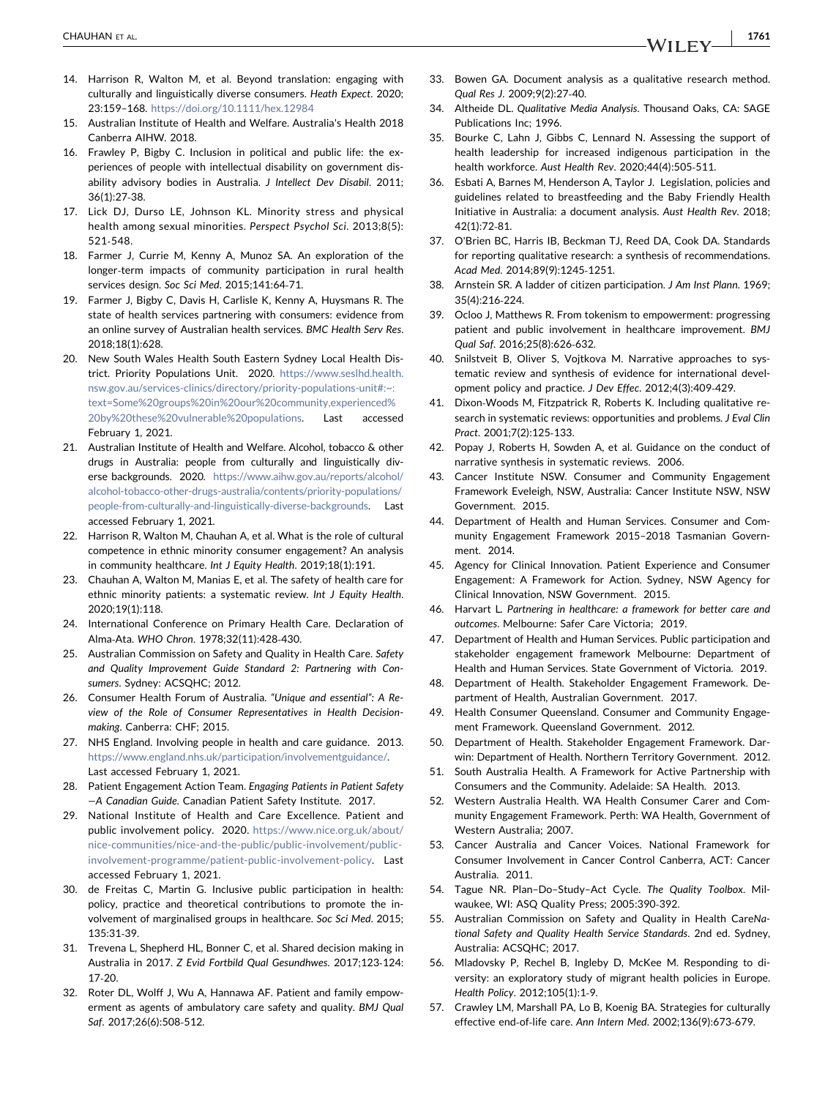- <span id="page-14-0"></span>14. Harrison R, Walton M, et al. Beyond translation: engaging with culturally and linguistically diverse consumers. Heath Expect. 2020; 23:159–168. <https://doi.org/10.1111/hex.12984>
- <span id="page-14-1"></span>15. Australian Institute of Health and Welfare. Australia's Health 2018 Canberra AIHW. 2018.
- <span id="page-14-2"></span>16. Frawley P, Bigby C. Inclusion in political and public life: the experiences of people with intellectual disability on government disability advisory bodies in Australia. J Intellect Dev Disabil. 2011; 36(1):27‐38.
- 17. Lick DJ, Durso LE, Johnson KL. Minority stress and physical health among sexual minorities. Perspect Psychol Sci. 2013;8(5): 521‐548.
- 18. Farmer J, Currie M, Kenny A, Munoz SA. An exploration of the longer‐term impacts of community participation in rural health services design. Soc Sci Med. 2015;141:64‐71.
- <span id="page-14-3"></span>19. Farmer J, Bigby C, Davis H, Carlisle K, Kenny A, Huysmans R. The state of health services partnering with consumers: evidence from an online survey of Australian health services. BMC Health Serv Res. 2018;18(1):628.
- 20. New South Wales Health South Eastern Sydney Local Health District. Priority Populations Unit. 2020. [https://www.seslhd.health.](https://www.seslhd.health.nsw.gov.au/services-clinics/directory/priority-populations-unit#:%7E:text=Some%20groups%20in%20our%20community,experienced%20by%20these%20vulnerable%20populations) [nsw.gov.au/services-clinics/directory/priority-populations-unit#:~:](https://www.seslhd.health.nsw.gov.au/services-clinics/directory/priority-populations-unit#:%7E:text=Some%20groups%20in%20our%20community,experienced%20by%20these%20vulnerable%20populations) [text=Some%20groups%20in%20our%20community,experienced%](https://www.seslhd.health.nsw.gov.au/services-clinics/directory/priority-populations-unit#:%7E:text=Some%20groups%20in%20our%20community,experienced%20by%20these%20vulnerable%20populations) [20by%20these%20vulnerable%20populations.](https://www.seslhd.health.nsw.gov.au/services-clinics/directory/priority-populations-unit#:%7E:text=Some%20groups%20in%20our%20community,experienced%20by%20these%20vulnerable%20populations) Last accessed February 1, 2021.
- 21. Australian Institute of Health and Welfare. Alcohol, tobacco & other drugs in Australia: people from culturally and linguistically diverse backgrounds. 2020. [https://www.aihw.gov.au/reports/alcohol/](https://www.aihw.gov.au/reports/alcohol/alcohol-tobacco-other-drugs-australia/contents/priority-populations/people-from-culturally-and-linguistically-diverse-backgrounds) [alcohol-tobacco-other-drugs-australia/contents/priority-populations/](https://www.aihw.gov.au/reports/alcohol/alcohol-tobacco-other-drugs-australia/contents/priority-populations/people-from-culturally-and-linguistically-diverse-backgrounds) [people-from-culturally-and-linguistically-diverse-backgrounds](https://www.aihw.gov.au/reports/alcohol/alcohol-tobacco-other-drugs-australia/contents/priority-populations/people-from-culturally-and-linguistically-diverse-backgrounds). Last accessed February 1, 2021.
- <span id="page-14-26"></span>22. Harrison R, Walton M, Chauhan A, et al. What is the role of cultural competence in ethnic minority consumer engagement? An analysis in community healthcare. Int J Equity Health. 2019;18(1):191.
- <span id="page-14-4"></span>23. Chauhan A, Walton M, Manias E, et al. The safety of health care for ethnic minority patients: a systematic review. Int J Equity Health. 2020;19(1):118.
- <span id="page-14-5"></span>24. International Conference on Primary Health Care. Declaration of Alma‐Ata. WHO Chron. 1978;32(11):428‐430.
- <span id="page-14-15"></span>25. Australian Commission on Safety and Quality in Health Care. Safety and Quality Improvement Guide Standard 2: Partnering with Consumers. Sydney: ACSQHC; 2012.
- 26. Consumer Health Forum of Australia. "Unique and essential": A Review of the Role of Consumer Representatives in Health Decision‐ making. Canberra: CHF; 2015.
- 27. NHS England. Involving people in health and care guidance. 2013. [https://www.england.nhs.uk/participation/involvementguidance/.](https://www.england.nhs.uk/participation/involvementguidance/) Last accessed February 1, 2021.
- 28. Patient Engagement Action Team. Engaging Patients in Patient Safety —A Canadian Guide. Canadian Patient Safety Institute. 2017.
- 29. National Institute of Health and Care Excellence. Patient and public involvement policy. 2020. [https://www.nice.org.uk/about/](https://www.nice.org.uk/about/nice-communities/nice-and-the-public/public-involvement/public-involvement-programme/patient-public-involvement-policy) [nice-communities/nice-and-the-public/public-involvement/public](https://www.nice.org.uk/about/nice-communities/nice-and-the-public/public-involvement/public-involvement-programme/patient-public-involvement-policy)[involvement-programme/patient-public-involvement-policy.](https://www.nice.org.uk/about/nice-communities/nice-and-the-public/public-involvement/public-involvement-programme/patient-public-involvement-policy) Last accessed February 1, 2021.
- <span id="page-14-27"></span>30. de Freitas C, Martin G. Inclusive public participation in health: policy, practice and theoretical contributions to promote the involvement of marginalised groups in healthcare. Soc Sci Med. 2015; 135:31‐39.
- <span id="page-14-22"></span>31. Trevena L, Shepherd HL, Bonner C, et al. Shared decision making in Australia in 2017. Z Evid Fortbild Qual Gesundhwes. 2017;123‐124: 17‐20.
- 32. Roter DL, Wolff J, Wu A, Hannawa AF. Patient and family empowerment as agents of ambulatory care safety and quality. BMJ Qual Saf. 2017;26(6):508‐512.
- <span id="page-14-6"></span>33. Bowen GA. Document analysis as a qualitative research method. Qual Res J. 2009;9(2):27‐40.
- <span id="page-14-8"></span>34. Altheide DL. Qualitative Media Analysis. Thousand Oaks, CA: SAGE Publications Inc; 1996.
- <span id="page-14-7"></span>35. Bourke C, Lahn J, Gibbs C, Lennard N. Assessing the support of health leadership for increased indigenous participation in the health workforce. Aust Health Rev. 2020;44(4):505‐511.
- 36. Esbati A, Barnes M, Henderson A, Taylor J. Legislation, policies and guidelines related to breastfeeding and the Baby Friendly Health Initiative in Australia: a document analysis. Aust Health Rev. 2018; 42(1):72‐81.
- <span id="page-14-9"></span>37. O'Brien BC, Harris IB, Beckman TJ, Reed DA, Cook DA. Standards for reporting qualitative research: a synthesis of recommendations. Acad Med. 2014;89(9):1245‐1251.
- <span id="page-14-10"></span>38. Arnstein SR. A ladder of citizen participation. J Am Inst Plann. 1969; 35(4):216‐224.
- <span id="page-14-23"></span>39. Ocloo J, Matthews R. From tokenism to empowerment: progressing patient and public involvement in healthcare improvement. BMJ Qual Saf. 2016;25(8):626‐632.
- <span id="page-14-11"></span>40. Snilstveit B, Oliver S, Vojtkova M. Narrative approaches to systematic review and synthesis of evidence for international development policy and practice. J Dev Effec. 2012;4(3):409‐429.
- 41. Dixon‐Woods M, Fitzpatrick R, Roberts K. Including qualitative research in systematic reviews: opportunities and problems. J Eval Clin Pract. 2001;7(2):125‐133.
- 42. Popay J, Roberts H, Sowden A, et al. Guidance on the conduct of narrative synthesis in systematic reviews. 2006.
- <span id="page-14-12"></span>43. Cancer Institute NSW. Consumer and Community Engagement Framework Eveleigh, NSW, Australia: Cancer Institute NSW, NSW Government. 2015.
- <span id="page-14-13"></span>44. Department of Health and Human Services. Consumer and Community Engagement Framework 2015–2018 Tasmanian Government. 2014.
- <span id="page-14-17"></span>45. Agency for Clinical Innovation. Patient Experience and Consumer Engagement: A Framework for Action. Sydney, NSW Agency for Clinical Innovation, NSW Government. 2015.
- <span id="page-14-14"></span>46. Harvart L. Partnering in healthcare: a framework for better care and outcomes. Melbourne: Safer Care Victoria; 2019.
- <span id="page-14-19"></span>47. Department of Health and Human Services. Public participation and stakeholder engagement framework Melbourne: Department of Health and Human Services. State Government of Victoria. 2019.
- <span id="page-14-18"></span>48. Department of Health. Stakeholder Engagement Framework. Department of Health, Australian Government. 2017.
- <span id="page-14-20"></span>49. Health Consumer Queensland. Consumer and Community Engagement Framework. Queensland Government. 2012.
- 50. Department of Health. Stakeholder Engagement Framework. Darwin: Department of Health. Northern Territory Government. 2012.
- 51. South Australia Health. A Framework for Active Partnership with Consumers and the Community. Adelaide: SA Health. 2013.
- <span id="page-14-21"></span>52. Western Australia Health. WA Health Consumer Carer and Community Engagement Framework. Perth: WA Health, Government of Western Australia; 2007.
- 53. Cancer Australia and Cancer Voices. National Framework for Consumer Involvement in Cancer Control Canberra, ACT: Cancer Australia. 2011.
- <span id="page-14-16"></span>54. Tague NR. Plan–Do–Study–Act Cycle. The Quality Toolbox. Milwaukee, WI: ASQ Quality Press; 2005:390‐392.
- 55. Australian Commission on Safety and Quality in Health CareNational Safety and Quality Health Service Standards. 2nd ed. Sydney, Australia: ACSQHC; 2017.
- <span id="page-14-24"></span>56. Mladovsky P, Rechel B, Ingleby D, McKee M. Responding to diversity: an exploratory study of migrant health policies in Europe. Health Policy. 2012;105(1):1‐9.
- <span id="page-14-25"></span>57. Crawley LM, Marshall PA, Lo B, Koenig BA. Strategies for culturally effective end‐of‐life care. Ann Intern Med. 2002;136(9):673‐679.